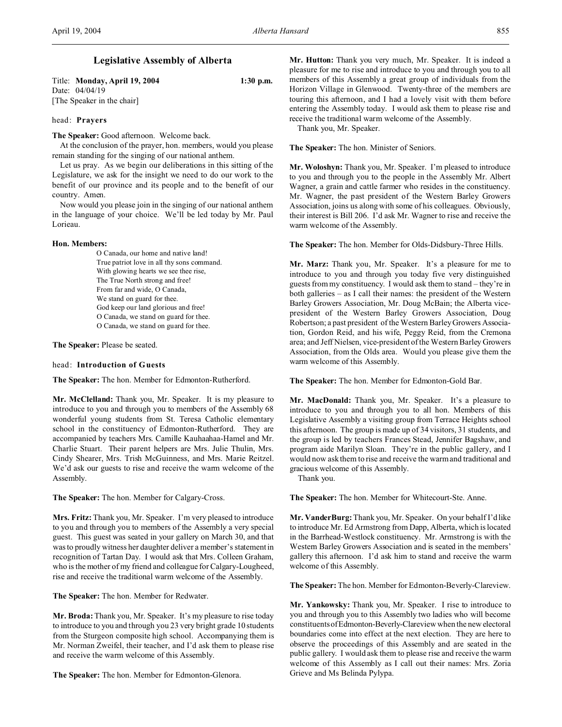# **Legislative Assembly of Alberta**

| Title: Monday, April 19, 2004 | $1:30$ p.m. |
|-------------------------------|-------------|
| Date: 04/04/19                |             |
| [The Speaker in the chair]    |             |

# head: **Prayers**

**The Speaker:** Good afternoon. Welcome back.

At the conclusion of the prayer, hon. members, would you please remain standing for the singing of our national anthem.

Let us pray. As we begin our deliberations in this sitting of the Legislature, we ask for the insight we need to do our work to the benefit of our province and its people and to the benefit of our country. Amen.

Now would you please join in the singing of our national anthem in the language of your choice. We'll be led today by Mr. Paul Lorieau.

## **Hon. Members:**

O Canada, our home and native land! True patriot love in all thy sons command. With glowing hearts we see thee rise, The True North strong and free! From far and wide, O Canada, We stand on guard for thee. God keep our land glorious and free! O Canada, we stand on guard for thee. O Canada, we stand on guard for thee.

**The Speaker:** Please be seated.

## head: **Introduction of Guests**

**The Speaker:** The hon. Member for Edmonton-Rutherford.

**Mr. McClelland:** Thank you, Mr. Speaker. It is my pleasure to introduce to you and through you to members of the Assembly 68 wonderful young students from St. Teresa Catholic elementary school in the constituency of Edmonton-Rutherford. They are accompanied by teachers Mrs. Camille Kauhaahaa-Hamel and Mr. Charlie Stuart. Their parent helpers are Mrs. Julie Thulin, Mrs. Cindy Shearer, Mrs. Trish McGuinness, and Mrs. Marie Reitzel. We'd ask our guests to rise and receive the warm welcome of the Assembly.

**The Speaker:** The hon. Member for Calgary-Cross.

**Mrs. Fritz:** Thank you, Mr. Speaker. I'm very pleased to introduce to you and through you to members of the Assembly a very special guest. This guest was seated in your gallery on March 30, and that was to proudly witness her daughter deliver a member's statement in recognition of Tartan Day. I would ask that Mrs. Colleen Graham, who is the mother of my friend and colleague for Calgary-Lougheed, rise and receive the traditional warm welcome of the Assembly.

**The Speaker:** The hon. Member for Redwater.

**Mr. Broda:**Thank you, Mr. Speaker. It's my pleasure to rise today to introduce to you and through you 23 very bright grade 10 students from the Sturgeon composite high school. Accompanying them is Mr. Norman Zweifel, their teacher, and I'd ask them to please rise and receive the warm welcome of this Assembly.

**The Speaker:** The hon. Member for Edmonton-Glenora.

**Mr. Hutton:** Thank you very much, Mr. Speaker. It is indeed a pleasure for me to rise and introduce to you and through you to all members of this Assembly a great group of individuals from the Horizon Village in Glenwood. Twenty-three of the members are touring this afternoon, and I had a lovely visit with them before entering the Assembly today. I would ask them to please rise and receive the traditional warm welcome of the Assembly.

Thank you, Mr. Speaker.

**The Speaker:** The hon. Minister of Seniors.

**Mr. Woloshyn:** Thank you, Mr. Speaker. I'm pleased to introduce to you and through you to the people in the Assembly Mr. Albert Wagner, a grain and cattle farmer who resides in the constituency. Mr. Wagner, the past president of the Western Barley Growers Association, joins us along with some of his colleagues. Obviously, their interest is Bill 206. I'd ask Mr. Wagner to rise and receive the warm welcome of the Assembly.

**The Speaker:** The hon. Member for Olds-Didsbury-Three Hills.

**Mr. Marz:** Thank you, Mr. Speaker. It's a pleasure for me to introduce to you and through you today five very distinguished guests from my constituency. I would ask them to stand – they're in both galleries – as I call their names: the president of the Western Barley Growers Association, Mr. Doug McBain; the Alberta vicepresident of the Western Barley Growers Association, Doug Robertson; a past president of the Western Barley Growers Association, Gordon Reid, and his wife, Peggy Reid, from the Cremona area; and Jeff Nielsen, vice-president of the Western Barley Growers Association, from the Olds area. Would you please give them the warm welcome of this Assembly.

**The Speaker:** The hon. Member for Edmonton-Gold Bar.

**Mr. MacDonald:** Thank you, Mr. Speaker. It's a pleasure to introduce to you and through you to all hon. Members of this Legislative Assembly a visiting group from Terrace Heights school this afternoon. The group is made up of 34 visitors, 31 students, and the group is led by teachers Frances Stead, Jennifer Bagshaw, and program aide Marilyn Sloan. They're in the public gallery, and I would now ask them to rise and receive the warm and traditional and gracious welcome of this Assembly.

Thank you.

**The Speaker:** The hon. Member for Whitecourt-Ste. Anne.

**Mr. VanderBurg:** Thank you, Mr. Speaker. On your behalf I'd like to introduce Mr. Ed Armstrong from Dapp, Alberta, which is located in the Barrhead-Westlock constituency. Mr. Armstrong is with the Western Barley Growers Association and is seated in the members' gallery this afternoon. I'd ask him to stand and receive the warm welcome of this Assembly.

**The Speaker:** The hon. Member for Edmonton-Beverly-Clareview.

**Mr. Yankowsky:** Thank you, Mr. Speaker. I rise to introduce to you and through you to this Assembly two ladies who will become constituentsofEdmonton-Beverly-Clareview when the new electoral boundaries come into effect at the next election. They are here to observe the proceedings of this Assembly and are seated in the public gallery. I would ask them to please rise and receive the warm welcome of this Assembly as I call out their names: Mrs. Zoria Grieve and Ms Belinda Pylypa.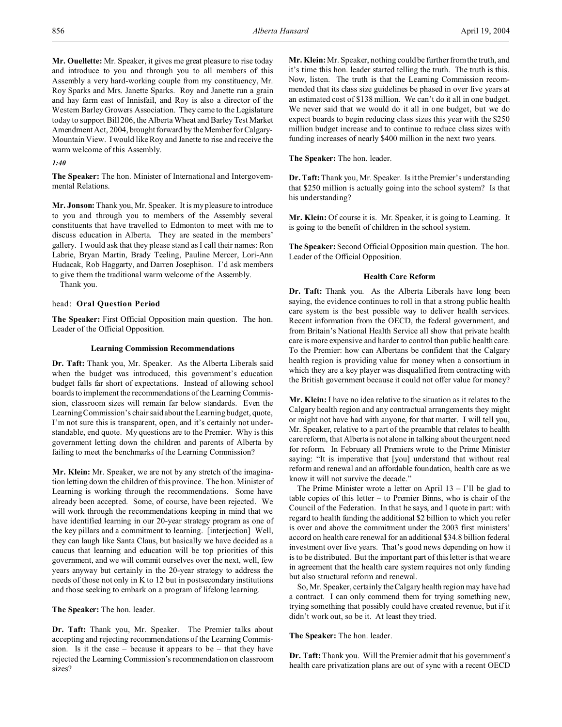**Mr. Ouellette:** Mr. Speaker, it gives me great pleasure to rise today and introduce to you and through you to all members of this Assembly a very hard-working couple from my constituency, Mr. Roy Sparks and Mrs. Janette Sparks. Roy and Janette run a grain and hay farm east of Innisfail, and Roy is also a director of the Western Barley Growers Association. They came to the Legislature today to support Bill 206, the Alberta Wheat and Barley Test Market Amendment Act, 2004, brought forward by the Member for Calgary-Mountain View. I would like Roy and Janette to rise and receive the warm welcome of this Assembly.

## *1:40*

**The Speaker:** The hon. Minister of International and Intergovernmental Relations.

**Mr. Jonson:** Thank you, Mr. Speaker. It is my pleasure to introduce to you and through you to members of the Assembly several constituents that have travelled to Edmonton to meet with me to discuss education in Alberta. They are seated in the members' gallery. I would ask that they please stand as I call their names: Ron Labrie, Bryan Martin, Brady Teeling, Pauline Mercer, Lori-Ann Hudacak, Rob Haggarty, and Darren Josephison. I'd ask members to give them the traditional warm welcome of the Assembly.

Thank you.

## head: **Oral Question Period**

**The Speaker:** First Official Opposition main question. The hon. Leader of the Official Opposition.

## **Learning Commission Recommendations**

**Dr. Taft:** Thank you, Mr. Speaker. As the Alberta Liberals said when the budget was introduced, this government's education budget falls far short of expectations. Instead of allowing school boards to implement the recommendations of the Learning Commission, classroom sizes will remain far below standards. Even the Learning Commission's chair said about the Learning budget, quote, I'm not sure this is transparent, open, and it's certainly not understandable, end quote. My questions are to the Premier. Why is this government letting down the children and parents of Alberta by failing to meet the benchmarks of the Learning Commission?

**Mr. Klein:** Mr. Speaker, we are not by any stretch of the imagination letting down the children of this province. The hon. Minister of Learning is working through the recommendations. Some have already been accepted. Some, of course, have been rejected. We will work through the recommendations keeping in mind that we have identified learning in our 20-year strategy program as one of the key pillars and a commitment to learning. [interjection] Well, they can laugh like Santa Claus, but basically we have decided as a caucus that learning and education will be top priorities of this government, and we will commit ourselves over the next, well, few years anyway but certainly in the 20-year strategy to address the needs of those not only in K to 12 but in postsecondary institutions and those seeking to embark on a program of lifelong learning.

**The Speaker:** The hon. leader.

**Dr. Taft:** Thank you, Mr. Speaker. The Premier talks about accepting and rejecting recommendations of the Learning Commission. Is it the case – because it appears to be – that they have rejected the Learning Commission's recommendation on classroom sizes?

**Mr. Klein:** Mr. Speaker, nothing could be further from the truth, and it's time this hon. leader started telling the truth. The truth is this. Now, listen. The truth is that the Learning Commission recommended that its class size guidelines be phased in over five years at an estimated cost of \$138 million. We can't do it all in one budget. We never said that we would do it all in one budget, but we do expect boards to begin reducing class sizes this year with the \$250 million budget increase and to continue to reduce class sizes with funding increases of nearly \$400 million in the next two years.

**The Speaker:** The hon. leader.

**Dr. Taft:** Thank you, Mr. Speaker. Is it the Premier's understanding that \$250 million is actually going into the school system? Is that his understanding?

**Mr. Klein:** Of course it is. Mr. Speaker, it is going to Learning. It is going to the benefit of children in the school system.

**The Speaker:** Second Official Opposition main question. The hon. Leader of the Official Opposition.

## **Health Care Reform**

**Dr. Taft:** Thank you. As the Alberta Liberals have long been saying, the evidence continues to roll in that a strong public health care system is the best possible way to deliver health services. Recent information from the OECD, the federal government, and from Britain's National Health Service all show that private health care is more expensive and harder to control than public health care. To the Premier: how can Albertans be confident that the Calgary health region is providing value for money when a consortium in which they are a key player was disqualified from contracting with the British government because it could not offer value for money?

**Mr. Klein:** I have no idea relative to the situation as it relates to the Calgary health region and any contractual arrangements they might or might not have had with anyone, for that matter. I will tell you, Mr. Speaker, relative to a part of the preamble that relates to health care reform, that Alberta is not alone in talking about the urgent need for reform. In February all Premiers wrote to the Prime Minister saying: "It is imperative that [you] understand that without real reform and renewal and an affordable foundation, health care as we know it will not survive the decade."

The Prime Minister wrote a letter on April  $13 - 1'$ ll be glad to table copies of this letter – to Premier Binns, who is chair of the Council of the Federation. In that he says, and I quote in part: with regard to health funding the additional \$2 billion to which you refer is over and above the commitment under the 2003 first ministers' accord on health care renewal for an additional \$34.8 billion federal investment over five years. That's good news depending on how it is to be distributed. But the important part of this letter is that we are in agreement that the health care system requires not only funding but also structural reform and renewal.

So, Mr. Speaker, certainly the Calgary health region may have had a contract. I can only commend them for trying something new, trying something that possibly could have created revenue, but if it didn't work out, so be it. At least they tried.

## **The Speaker:** The hon. leader.

**Dr. Taft:** Thank you. Will the Premier admit that his government's health care privatization plans are out of sync with a recent OECD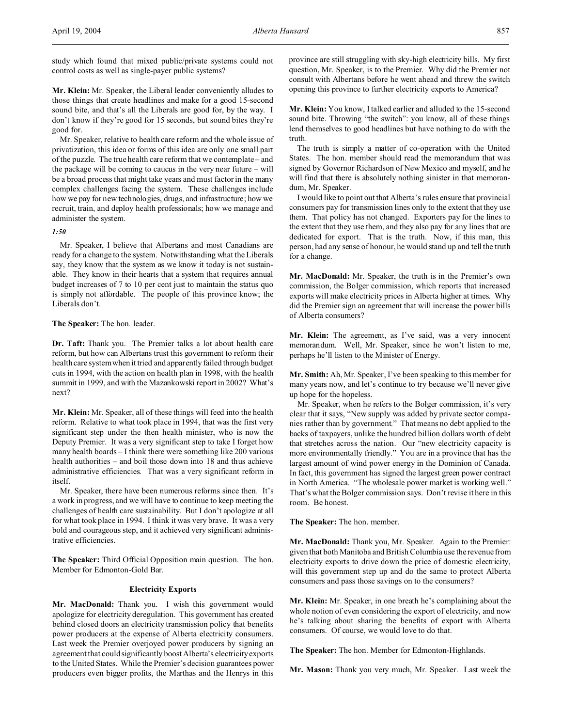study which found that mixed public/private systems could not control costs as well as single-payer public systems?

**Mr. Klein:** Mr. Speaker, the Liberal leader conveniently alludes to those things that create headlines and make for a good 15-second sound bite, and that's all the Liberals are good for, by the way. I don't know if they're good for 15 seconds, but sound bites they're good for.

Mr. Speaker, relative to health care reform and the whole issue of privatization, this idea or forms of this idea are only one small part of the puzzle. The true health care reform that we contemplate – and the package will be coming to caucus in the very near future – will be a broad process that might take years and must factor in the many complex challenges facing the system. These challenges include how we pay for new technologies, drugs, and infrastructure; how we recruit, train, and deploy health professionals; how we manage and administer the system.

## *1:50*

Mr. Speaker, I believe that Albertans and most Canadians are ready for a change to the system. Notwithstanding what the Liberals say, they know that the system as we know it today is not sustainable. They know in their hearts that a system that requires annual budget increases of 7 to 10 per cent just to maintain the status quo is simply not affordable. The people of this province know; the Liberals don't.

## **The Speaker:** The hon. leader.

**Dr. Taft:** Thank you. The Premier talks a lot about health care reform, but how can Albertans trust this government to reform their health care system when it tried and apparently failed through budget cuts in 1994, with the action on health plan in 1998, with the health summit in 1999, and with the Mazankowski report in 2002? What's next?

**Mr. Klein:** Mr. Speaker, all of these things will feed into the health reform. Relative to what took place in 1994, that was the first very significant step under the then health minister, who is now the Deputy Premier. It was a very significant step to take I forget how many health boards – I think there were something like 200 various health authorities – and boil those down into 18 and thus achieve administrative efficiencies. That was a very significant reform in itself.

Mr. Speaker, there have been numerous reforms since then. It's a work in progress, and we will have to continue to keep meeting the challenges of health care sustainability. But I don't apologize at all for what took place in 1994. I think it was very brave. It was a very bold and courageous step, and it achieved very significant administrative efficiencies.

**The Speaker:** Third Official Opposition main question. The hon. Member for Edmonton-Gold Bar.

## **Electricity Exports**

**Mr. MacDonald:** Thank you. I wish this government would apologize for electricity deregulation. This government has created behind closed doors an electricity transmission policy that benefits power producers at the expense of Alberta electricity consumers. Last week the Premier overjoyed power producers by signing an agreement that could significantly boost Alberta's electricity exports to the United States. While the Premier's decision guarantees power producers even bigger profits, the Marthas and the Henrys in this province are still struggling with sky-high electricity bills. My first question, Mr. Speaker, is to the Premier. Why did the Premier not consult with Albertans before he went ahead and threw the switch opening this province to further electricity exports to America?

**Mr. Klein:** You know, I talked earlier and alluded to the 15-second sound bite. Throwing "the switch": you know, all of these things lend themselves to good headlines but have nothing to do with the truth.

The truth is simply a matter of co-operation with the United States. The hon. member should read the memorandum that was signed by Governor Richardson of New Mexico and myself, and he will find that there is absolutely nothing sinister in that memorandum, Mr. Speaker.

I would like to point out that Alberta's rules ensure that provincial consumers pay for transmission lines only to the extent that they use them. That policy has not changed. Exporters pay for the lines to the extent that they use them, and they also pay for any lines that are dedicated for export. That is the truth. Now, if this man, this person, had any sense of honour, he would stand up and tell the truth for a change.

**Mr. MacDonald:** Mr. Speaker, the truth is in the Premier's own commission, the Bolger commission, which reports that increased exports will make electricity prices in Alberta higher at times. Why did the Premier sign an agreement that will increase the power bills of Alberta consumers?

**Mr. Klein:** The agreement, as I've said, was a very innocent memorandum. Well, Mr. Speaker, since he won't listen to me, perhaps he'll listen to the Minister of Energy.

**Mr. Smith:** Ah, Mr. Speaker, I've been speaking to this member for many years now, and let's continue to try because we'll never give up hope for the hopeless.

Mr. Speaker, when he refers to the Bolger commission, it's very clear that it says, "New supply was added by private sector companies rather than by government." That means no debt applied to the backs of taxpayers, unlike the hundred billion dollars worth of debt that stretches across the nation. Our "new electricity capacity is more environmentally friendly." You are in a province that has the largest amount of wind power energy in the Dominion of Canada. In fact, this government has signed the largest green power contract in North America. "The wholesale power market is working well." That's what the Bolger commission says. Don't revise it here in this room. Be honest.

**The Speaker:** The hon. member.

**Mr. MacDonald:** Thank you, Mr. Speaker. Again to the Premier: given that both Manitoba and British Columbia use the revenue from electricity exports to drive down the price of domestic electricity, will this government step up and do the same to protect Alberta consumers and pass those savings on to the consumers?

**Mr. Klein:** Mr. Speaker, in one breath he's complaining about the whole notion of even considering the export of electricity, and now he's talking about sharing the benefits of export with Alberta consumers. Of course, we would love to do that.

**The Speaker:** The hon. Member for Edmonton-Highlands.

**Mr. Mason:** Thank you very much, Mr. Speaker. Last week the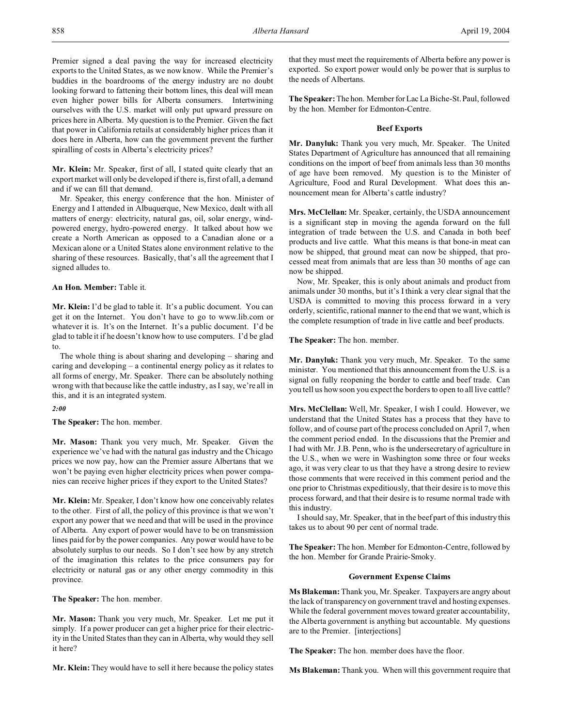Premier signed a deal paving the way for increased electricity exports to the United States, as we now know. While the Premier's buddies in the boardrooms of the energy industry are no doubt looking forward to fattening their bottom lines, this deal will mean even higher power bills for Alberta consumers. Intertwining ourselves with the U.S. market will only put upward pressure on prices here in Alberta. My question is to the Premier. Given the fact that power in California retails at considerably higher prices than it does here in Alberta, how can the government prevent the further spiralling of costs in Alberta's electricity prices?

**Mr. Klein:** Mr. Speaker, first of all, I stated quite clearly that an export market will only be developed if there is, first of all, a demand and if we can fill that demand.

Mr. Speaker, this energy conference that the hon. Minister of Energy and I attended in Albuquerque, New Mexico, dealt with all matters of energy: electricity, natural gas, oil, solar energy, windpowered energy, hydro-powered energy. It talked about how we create a North American as opposed to a Canadian alone or a Mexican alone or a United States alone environment relative to the sharing of these resources. Basically, that's all the agreement that I signed alludes to.

## **An Hon. Member:** Table it.

**Mr. Klein:** I'd be glad to table it. It's a public document. You can get it on the Internet. You don't have to go to www.lib.com or whatever it is. It's on the Internet. It's a public document. I'd be glad to table it if he doesn't know how to use computers. I'd be glad to.

The whole thing is about sharing and developing – sharing and caring and developing – a continental energy policy as it relates to all forms of energy, Mr. Speaker. There can be absolutely nothing wrong with that because like the cattle industry, as I say, we're all in this, and it is an integrated system.

## *2:00*

**The Speaker:** The hon. member.

**Mr. Mason:** Thank you very much, Mr. Speaker. Given the experience we've had with the natural gas industry and the Chicago prices we now pay, how can the Premier assure Albertans that we won't be paying even higher electricity prices when power companies can receive higher prices if they export to the United States?

**Mr. Klein:** Mr. Speaker, I don't know how one conceivably relates to the other. First of all, the policy of this province is that we won't export any power that we need and that will be used in the province of Alberta. Any export of power would have to be on transmission lines paid for by the power companies. Any power would have to be absolutely surplus to our needs. So I don't see how by any stretch of the imagination this relates to the price consumers pay for electricity or natural gas or any other energy commodity in this province.

**The Speaker:** The hon. member.

**Mr. Mason:** Thank you very much, Mr. Speaker. Let me put it simply. If a power producer can get a higher price for their electricity in the United States than they can in Alberta, why would they sell it here?

**Mr. Klein:** They would have to sell it here because the policy states

that they must meet the requirements of Alberta before any power is exported. So export power would only be power that is surplus to the needs of Albertans.

**The Speaker:** The hon. Member for Lac La Biche-St. Paul, followed by the hon. Member for Edmonton-Centre.

### **Beef Exports**

**Mr. Danyluk:** Thank you very much, Mr. Speaker. The United States Department of Agriculture has announced that all remaining conditions on the import of beef from animals less than 30 months of age have been removed. My question is to the Minister of Agriculture, Food and Rural Development. What does this announcement mean for Alberta's cattle industry?

**Mrs. McClellan:** Mr. Speaker, certainly, the USDA announcement is a significant step in moving the agenda forward on the full integration of trade between the U.S. and Canada in both beef products and live cattle. What this means is that bone-in meat can now be shipped, that ground meat can now be shipped, that processed meat from animals that are less than 30 months of age can now be shipped.

Now, Mr. Speaker, this is only about animals and product from animals under 30 months, but it's I think a very clear signal that the USDA is committed to moving this process forward in a very orderly, scientific, rational manner to the end that we want, which is the complete resumption of trade in live cattle and beef products.

**The Speaker:** The hon. member.

**Mr. Danyluk:** Thank you very much, Mr. Speaker. To the same minister. You mentioned that this announcement from the U.S. is a signal on fully reopening the border to cattle and beef trade. Can you tell us how soon you expect the borders to open to all live cattle?

**Mrs. McClellan:** Well, Mr. Speaker, I wish I could. However, we understand that the United States has a process that they have to follow, and of course part of the process concluded on April 7, when the comment period ended. In the discussions that the Premier and I had with Mr. J.B. Penn, who is the undersecretary of agriculture in the U.S., when we were in Washington some three or four weeks ago, it was very clear to us that they have a strong desire to review those comments that were received in this comment period and the one prior to Christmas expeditiously, that their desire is to move this process forward, and that their desire is to resume normal trade with this industry.

I should say, Mr. Speaker, that in the beef part of this industry this takes us to about 90 per cent of normal trade.

**The Speaker:** The hon. Member for Edmonton-Centre, followed by the hon. Member for Grande Prairie-Smoky.

## **Government Expense Claims**

**Ms Blakeman:** Thank you, Mr. Speaker. Taxpayers are angry about the lack of transparency on government travel and hosting expenses. While the federal government moves toward greater accountability, the Alberta government is anything but accountable. My questions are to the Premier. [interjections]

**The Speaker:** The hon. member does have the floor.

**Ms Blakeman:** Thank you. When will this government require that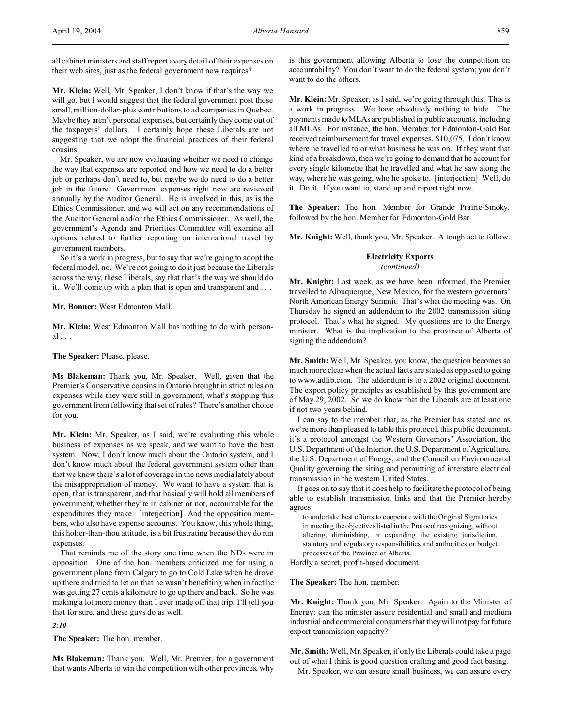all cabinet ministers and staff report every detail of their expenses on their web sites, just as the federal government now requires?

**Mr. Klein:** Well, Mr. Speaker, I don't know if that's the way we will go, but I would suggest that the federal government post those small, million-dollar-plus contributions to ad companies in Quebec. Maybe they aren't personal expenses, but certainly they come out of the taxpayers' dollars. I certainly hope these Liberals are not suggesting that we adopt the financial practices of their federal cousins.

Mr. Speaker, we are now evaluating whether we need to change the way that expenses are reported and how we need to do a better job or perhaps don't need to, but maybe we do need to do a better job in the future. Government expenses right now are reviewed annually by the Auditor General. He is involved in this, as is the Ethics Commissioner, and we will act on any recommendations of the Auditor General and/or the Ethics Commissioner. As well, the government's Agenda and Priorities Committee will examine all options related to further reporting on international travel by government members.

So it's a work in progress, but to say that we're going to adopt the federal model, no. We're not going to do it just because the Liberals across the way, these Liberals, say that that's the way we should do it. We'll come up with a plan that is open and transparent and . . .

#### **Mr. Bonner:** West Edmonton Mall.

**Mr. Klein:** West Edmonton Mall has nothing to do with personal . . .

## **The Speaker:** Please, please.

**Ms Blakeman:** Thank you, Mr. Speaker. Well, given that the Premier's Conservative cousins in Ontario brought in strict rules on expenses while they were still in government, what's stopping this government from following that set of rules? There's another choice for you.

**Mr. Klein:** Mr. Speaker, as I said, we're evaluating this whole business of expenses as we speak, and we want to have the best system. Now, I don't know much about the Ontario system, and I don't know much about the federal government system other than that we know there's a lot of coverage in the news media lately about the misappropriation of money. We want to have a system that is open, that is transparent, and that basically will hold all members of government, whether they're in cabinet or not, accountable for the expenditures they make. [interjection] And the opposition members, who also have expense accounts. You know, this whole thing, this holier-than-thou attitude, is a bit frustrating because they do run expenses.

That reminds me of the story one time when the NDs were in opposition. One of the hon. members criticized me for using a government plane from Calgary to go to Cold Lake when he drove up there and tried to let on that he wasn't benefiting when in fact he was getting 27 cents a kilometre to go up there and back. So he was making a lot more money than I ever made off that trip, I'll tell you that for sure, and these guys do as well.

*2:10*

**The Speaker:** The hon. member.

**Ms Blakeman:** Thank you. Well, Mr. Premier, for a government that wants Alberta to win the competition with other provinces, why is this government allowing Alberta to lose the competition on accountability? You don't want to do the federal system; you don't want to do the others.

**Mr. Klein:** Mr. Speaker, as I said, we're going through this. This is a work in progress. We have absolutely nothing to hide. The payments made to MLAs are published in public accounts, including all MLAs. For instance, the hon. Member for Edmonton-Gold Bar received reimbursement for travel expenses, \$10,075. I don't know where he travelled to or what business he was on. If they want that kind of a breakdown, then we're going to demand that he account for every single kilometre that he travelled and what he saw along the way, where he was going, who he spoke to. [interjection] Well, do it. Do it. If you want to, stand up and report right now.

**The Speaker:** The hon. Member for Grande Prairie-Smoky, followed by the hon. Member for Edmonton-Gold Bar.

**Mr. Knight:** Well, thank you, Mr. Speaker. A tough act to follow.

## **Electricity Exports** *(continued)*

**Mr. Knight:** Last week, as we have been informed, the Premier travelled to Albuquerque, New Mexico, for the western governors' North American Energy Summit. That's what the meeting was. On Thursday he signed an addendum to the 2002 transmission siting protocol. That's what he signed. My questions are to the Energy minister. What is the implication to the province of Alberta of signing the addendum?

**Mr. Smith:** Well, Mr. Speaker, you know, the question becomes so much more clear when the actual facts are stated as opposed to going to www.adlib.com. The addendum is to a 2002 original document. The export policy principles as established by this government are of May 29, 2002. So we do know that the Liberals are at least one if not two years behind.

I can say to the member that, as the Premier has stated and as we're more than pleased to table this protocol, this public document, it's a protocol amongst the Western Governors' Association, the U.S. Department of the Interior, the U.S. Department of Agriculture, the U.S. Department of Energy, and the Council on Environmental Quality governing the siting and permitting of interstate electrical transmission in the western United States.

It goes on to say that it does help to facilitate the protocol of being able to establish transmission links and that the Premier hereby agrees

to undertake best efforts to cooperate with the Original Signatories in meeting the objectives listed in the Protocol recognizing, without altering, diminishing, or expanding the existing jurisdiction, statutory and regulatory responsibilities and authorities or budget processes of the Province of Alberta.

Hardly a secret, profit-based document.

**The Speaker:** The hon. member.

**Mr. Knight:** Thank you, Mr. Speaker. Again to the Minister of Energy: can the minister assure residential and small and medium industrial and commercial consumers that they will not pay for future export transmission capacity?

**Mr. Smith:** Well, Mr. Speaker, if only the Liberals could take a page out of what I think is good question crafting and good fact basing. Mr. Speaker, we can assure small business, we can assure every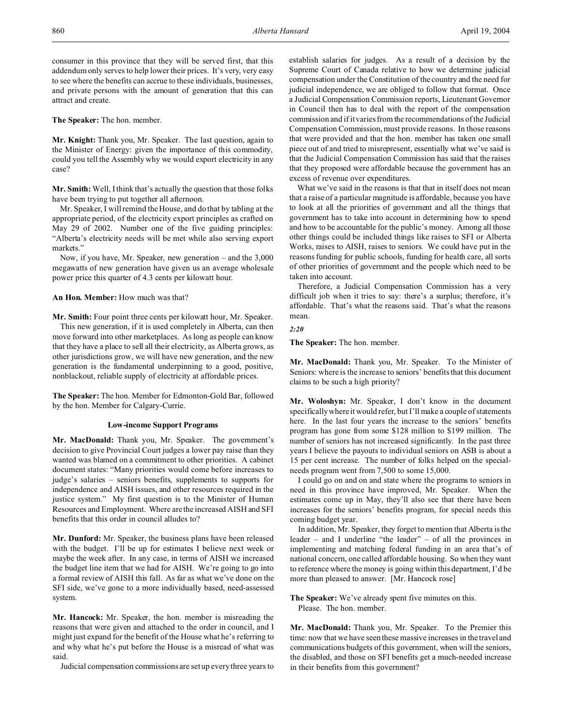consumer in this province that they will be served first, that this addendum only serves to help lower their prices. It's very, very easy to see where the benefits can accrue to these individuals, businesses, and private persons with the amount of generation that this can attract and create.

**The Speaker:** The hon. member.

**Mr. Knight:** Thank you, Mr. Speaker. The last question, again to the Minister of Energy: given the importance of this commodity, could you tell the Assembly why we would export electricity in any case?

**Mr. Smith:** Well, I think that's actually the question that those folks have been trying to put together all afternoon.

Mr. Speaker, I will remind the House, and do that by tabling at the appropriate period, of the electricity export principles as crafted on May 29 of 2002. Number one of the five guiding principles: "Alberta's electricity needs will be met while also serving export markets."

Now, if you have, Mr. Speaker, new generation – and the 3,000 megawatts of new generation have given us an average wholesale power price this quarter of 4.3 cents per kilowatt hour.

## **An Hon. Member:** How much was that?

**Mr. Smith:** Four point three cents per kilowatt hour, Mr. Speaker.

This new generation, if it is used completely in Alberta, can then move forward into other marketplaces. As long as people can know that they have a place to sell all their electricity, as Alberta grows, as other jurisdictions grow, we will have new generation, and the new generation is the fundamental underpinning to a good, positive, nonblackout, reliable supply of electricity at affordable prices.

**The Speaker:** The hon. Member for Edmonton-Gold Bar, followed by the hon. Member for Calgary-Currie.

## **Low-income Support Programs**

**Mr. MacDonald:** Thank you, Mr. Speaker. The government's decision to give Provincial Court judges a lower pay raise than they wanted was blamed on a commitment to other priorities. A cabinet document states: "Many priorities would come before increases to judge's salaries – seniors benefits, supplements to supports for independence and AISH issues, and other resources required in the justice system." My first question is to the Minister of Human Resources and Employment. Where are the increased AISH and SFI benefits that this order in council alludes to?

**Mr. Dunford:** Mr. Speaker, the business plans have been released with the budget. I'll be up for estimates I believe next week or maybe the week after. In any case, in terms of AISH we increased the budget line item that we had for AISH. We're going to go into a formal review of AISH this fall. As far as what we've done on the SFI side, we've gone to a more individually based, need-assessed system.

**Mr. Hancock:** Mr. Speaker, the hon. member is misreading the reasons that were given and attached to the order in council, and I might just expand for the benefit of the House what he's referring to and why what he's put before the House is a misread of what was said.

Judicial compensation commissions are set up every three years to

establish salaries for judges. As a result of a decision by the Supreme Court of Canada relative to how we determine judicial compensation under the Constitution of the country and the need for judicial independence, we are obliged to follow that format. Once a Judicial Compensation Commission reports, Lieutenant Governor in Council then has to deal with the report of the compensation commission and if it varies from the recommendations of the Judicial Compensation Commission, must provide reasons. In those reasons that were provided and that the hon. member has taken one small piece out of and tried to misrepresent, essentially what we've said is that the Judicial Compensation Commission has said that the raises that they proposed were affordable because the government has an excess of revenue over expenditures.

What we've said in the reasons is that that in itself does not mean that a raise of a particular magnitude is affordable, because you have to look at all the priorities of government and all the things that government has to take into account in determining how to spend and how to be accountable for the public's money. Among all those other things could be included things like raises to SFI or Alberta Works, raises to AISH, raises to seniors. We could have put in the reasons funding for public schools, funding for health care, all sorts of other priorities of government and the people which need to be taken into account.

Therefore, a Judicial Compensation Commission has a very difficult job when it tries to say: there's a surplus; therefore, it's affordable. That's what the reasons said. That's what the reasons mean.

*2:20*

**The Speaker:** The hon. member.

**Mr. MacDonald:** Thank you, Mr. Speaker. To the Minister of Seniors: where is the increase to seniors' benefits that this document claims to be such a high priority?

**Mr. Woloshyn:** Mr. Speaker, I don't know in the document specifically where it would refer, but I'll make a couple of statements here. In the last four years the increase to the seniors' benefits program has gone from some \$128 million to \$199 million. The number of seniors has not increased significantly. In the past three years I believe the payouts to individual seniors on ASB is about a 15 per cent increase. The number of folks helped on the specialneeds program went from 7,500 to some 15,000.

I could go on and on and state where the programs to seniors in need in this province have improved, Mr. Speaker. When the estimates come up in May, they'll also see that there have been increases for the seniors' benefits program, for special needs this coming budget year.

In addition, Mr. Speaker, they forget to mention that Alberta is the leader – and I underline "the leader" – of all the provinces in implementing and matching federal funding in an area that's of national concern, one called affordable housing. So when they want to reference where the money is going within this department, I'd be more than pleased to answer. [Mr. Hancock rose]

**The Speaker:** We've already spent five minutes on this. Please. The hon. member.

**Mr. MacDonald:** Thank you, Mr. Speaker. To the Premier this time: now that we have seen these massive increases in the travel and communications budgets of this government, when will the seniors, the disabled, and those on SFI benefits get a much-needed increase in their benefits from this government?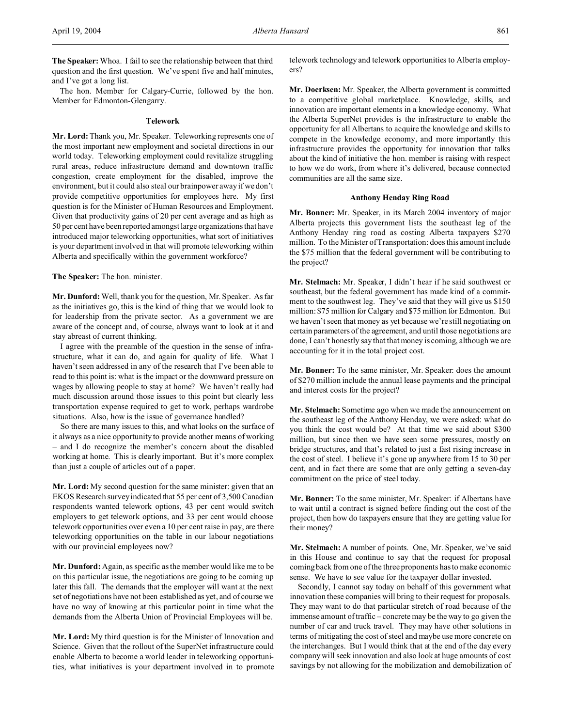**The Speaker:** Whoa. I fail to see the relationship between that third question and the first question. We've spent five and half minutes, and I've got a long list.

The hon. Member for Calgary-Currie, followed by the hon. Member for Edmonton-Glengarry.

## **Telework**

**Mr. Lord:**Thank you, Mr. Speaker. Teleworking represents one of the most important new employment and societal directions in our world today. Teleworking employment could revitalize struggling rural areas, reduce infrastructure demand and downtown traffic congestion, create employment for the disabled, improve the environment, but it could also steal our brainpower away if we don't provide competitive opportunities for employees here. My first question is for the Minister of Human Resources and Employment. Given that productivity gains of 20 per cent average and as high as 50 per cent have been reported amongst large organizations that have introduced major teleworking opportunities, what sort of initiatives is your department involved in that will promote teleworking within Alberta and specifically within the government workforce?

**The Speaker:** The hon. minister.

**Mr. Dunford:** Well, thank you for the question, Mr. Speaker. As far as the initiatives go, this is the kind of thing that we would look to for leadership from the private sector. As a government we are aware of the concept and, of course, always want to look at it and stay abreast of current thinking.

I agree with the preamble of the question in the sense of infrastructure, what it can do, and again for quality of life. What I haven't seen addressed in any of the research that I've been able to read to this point is: what is the impact or the downward pressure on wages by allowing people to stay at home? We haven't really had much discussion around those issues to this point but clearly less transportation expense required to get to work, perhaps wardrobe situations. Also, how is the issue of governance handled?

So there are many issues to this, and what looks on the surface of it always as a nice opportunity to provide another means of working – and I do recognize the member's concern about the disabled working at home. This is clearly important. But it's more complex than just a couple of articles out of a paper.

**Mr. Lord:** My second question for the same minister: given that an EKOS Research survey indicated that 55 per cent of 3,500 Canadian respondents wanted telework options, 43 per cent would switch employers to get telework options, and 33 per cent would choose telework opportunities over even a 10 per cent raise in pay, are there teleworking opportunities on the table in our labour negotiations with our provincial employees now?

**Mr. Dunford:** Again, as specific as the member would like me to be on this particular issue, the negotiations are going to be coming up later this fall. The demands that the employer will want at the next set of negotiations have not been established as yet, and of course we have no way of knowing at this particular point in time what the demands from the Alberta Union of Provincial Employees will be.

**Mr. Lord:** My third question is for the Minister of Innovation and Science. Given that the rollout of the SuperNet infrastructure could enable Alberta to become a world leader in teleworking opportunities, what initiatives is your department involved in to promote telework technology and telework opportunities to Alberta employers?

**Mr. Doerksen:** Mr. Speaker, the Alberta government is committed to a competitive global marketplace. Knowledge, skills, and innovation are important elements in a knowledge economy. What the Alberta SuperNet provides is the infrastructure to enable the opportunity for all Albertans to acquire the knowledge and skills to compete in the knowledge economy, and more importantly this infrastructure provides the opportunity for innovation that talks about the kind of initiative the hon. member is raising with respect to how we do work, from where it's delivered, because connected communities are all the same size.

#### **Anthony Henday Ring Road**

**Mr. Bonner:** Mr. Speaker, in its March 2004 inventory of major Alberta projects this government lists the southeast leg of the Anthony Henday ring road as costing Alberta taxpayers \$270 million. To the Minister of Transportation: does this amount include the \$75 million that the federal government will be contributing to the project?

**Mr. Stelmach:** Mr. Speaker, I didn't hear if he said southwest or southeast, but the federal government has made kind of a commitment to the southwest leg. They've said that they will give us \$150 million: \$75 million for Calgary and \$75 million for Edmonton. But we haven't seen that money as yet because we're still negotiating on certain parameters of the agreement, and until those negotiations are done, I can't honestly say that that money is coming, although we are accounting for it in the total project cost.

**Mr. Bonner:** To the same minister, Mr. Speaker: does the amount of \$270 million include the annual lease payments and the principal and interest costs for the project?

**Mr. Stelmach:** Sometime ago when we made the announcement on the southeast leg of the Anthony Henday, we were asked: what do you think the cost would be? At that time we said about \$300 million, but since then we have seen some pressures, mostly on bridge structures, and that's related to just a fast rising increase in the cost of steel. I believe it's gone up anywhere from 15 to 30 per cent, and in fact there are some that are only getting a seven-day commitment on the price of steel today.

**Mr. Bonner:** To the same minister, Mr. Speaker: if Albertans have to wait until a contract is signed before finding out the cost of the project, then how do taxpayers ensure that they are getting value for their money?

**Mr. Stelmach:** A number of points. One, Mr. Speaker, we've said in this House and continue to say that the request for proposal coming back from one of the three proponents has to make economic sense. We have to see value for the taxpayer dollar invested.

Secondly, I cannot say today on behalf of this government what innovation these companies will bring to their request for proposals. They may want to do that particular stretch of road because of the immense amount of traffic – concrete may be the way to go given the number of car and truck travel. They may have other solutions in terms of mitigating the cost of steel and maybe use more concrete on the interchanges. But I would think that at the end of the day every company will seek innovation and also look at huge amounts of cost savings by not allowing for the mobilization and demobilization of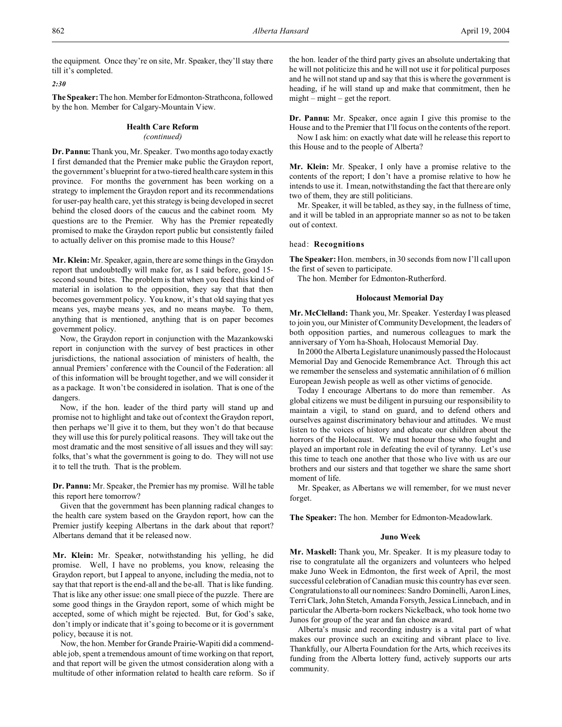the equipment. Once they're on site, Mr. Speaker, they'll stay there till it's completed.

## *2:30*

The Speaker: The hon. Member for Edmonton-Strathcona, followed by the hon. Member for Calgary-Mountain View.

## **Health Care Reform**

#### *(continued)*

**Dr. Pannu:** Thank you, Mr. Speaker. Two months ago today exactly I first demanded that the Premier make public the Graydon report, the government's blueprint for a two-tiered health care system in this province. For months the government has been working on a strategy to implement the Graydon report and its recommendations for user-pay health care, yet this strategy is being developed in secret behind the closed doors of the caucus and the cabinet room. My questions are to the Premier. Why has the Premier repeatedly promised to make the Graydon report public but consistently failed to actually deliver on this promise made to this House?

**Mr. Klein:** Mr. Speaker, again, there are some things in the Graydon report that undoubtedly will make for, as I said before, good 15 second sound bites. The problem is that when you feed this kind of material in isolation to the opposition, they say that that then becomes government policy. You know, it's that old saying that yes means yes, maybe means yes, and no means maybe. To them, anything that is mentioned, anything that is on paper becomes government policy.

Now, the Graydon report in conjunction with the Mazankowski report in conjunction with the survey of best practices in other jurisdictions, the national association of ministers of health, the annual Premiers' conference with the Council of the Federation: all of this information will be brought together, and we will consider it as a package. It won't be considered in isolation. That is one of the dangers.

Now, if the hon. leader of the third party will stand up and promise not to highlight and take out of context the Graydon report, then perhaps we'll give it to them, but they won't do that because they will use this for purely political reasons. They will take out the most dramatic and the most sensitive of all issues and they will say: folks, that's what the government is going to do. They will not use it to tell the truth. That is the problem.

**Dr. Pannu:** Mr. Speaker, the Premier has my promise. Will he table this report here tomorrow?

Given that the government has been planning radical changes to the health care system based on the Graydon report, how can the Premier justify keeping Albertans in the dark about that report? Albertans demand that it be released now.

**Mr. Klein:** Mr. Speaker, notwithstanding his yelling, he did promise. Well, I have no problems, you know, releasing the Graydon report, but I appeal to anyone, including the media, not to say that that report is the end-all and the be-all. That is like funding. That is like any other issue: one small piece of the puzzle. There are some good things in the Graydon report, some of which might be accepted, some of which might be rejected. But, for God's sake, don't imply or indicate that it's going to become or it is government policy, because it is not.

Now, the hon. Member for Grande Prairie-Wapiti did a commendable job, spent a tremendous amount of time working on that report, and that report will be given the utmost consideration along with a multitude of other information related to health care reform. So if the hon. leader of the third party gives an absolute undertaking that he will not politicize this and he will not use it for political purposes and he will not stand up and say that this is where the government is heading, if he will stand up and make that commitment, then he might – might – get the report.

**Dr. Pannu:** Mr. Speaker, once again I give this promise to the House and to the Premier that I'll focus on the contents of the report.

Now I ask him: on exactly what date will he release this report to this House and to the people of Alberta?

**Mr. Klein:** Mr. Speaker, I only have a promise relative to the contents of the report; I don't have a promise relative to how he intends to use it. I mean, notwithstanding the fact that there are only two of them, they are still politicians.

Mr. Speaker, it will be tabled, as they say, in the fullness of time, and it will be tabled in an appropriate manner so as not to be taken out of context.

### head: **Recognitions**

**The Speaker:** Hon. members, in 30 seconds from now I'll call upon the first of seven to participate.

The hon. Member for Edmonton-Rutherford.

# **Holocaust Memorial Day**

**Mr. McClelland:** Thank you, Mr. Speaker. Yesterday I was pleased to join you, our Minister of Community Development, the leaders of both opposition parties, and numerous colleagues to mark the anniversary of Yom ha-Shoah, Holocaust Memorial Day.

In 2000 the Alberta Legislature unanimously passed the Holocaust Memorial Day and Genocide Remembrance Act. Through this act we remember the senseless and systematic annihilation of 6 million European Jewish people as well as other victims of genocide.

Today I encourage Albertans to do more than remember. As global citizens we must be diligent in pursuing our responsibility to maintain a vigil, to stand on guard, and to defend others and ourselves against discriminatory behaviour and attitudes. We must listen to the voices of history and educate our children about the horrors of the Holocaust. We must honour those who fought and played an important role in defeating the evil of tyranny. Let's use this time to teach one another that those who live with us are our brothers and our sisters and that together we share the same short moment of life.

Mr. Speaker, as Albertans we will remember, for we must never forget.

**The Speaker:** The hon. Member for Edmonton-Meadowlark.

#### **Juno Week**

**Mr. Maskell:** Thank you, Mr. Speaker. It is my pleasure today to rise to congratulate all the organizers and volunteers who helped make Juno Week in Edmonton, the first week of April, the most successful celebration of Canadian music this country has ever seen. Congratulations to all our nominees: Sandro Dominelli, AaronLines, Terri Clark, John Stetch, Amanda Forsyth, Jessica Linnebach, and in particular the Alberta-born rockers Nickelback, who took home two Junos for group of the year and fan choice award.

Alberta's music and recording industry is a vital part of what makes our province such an exciting and vibrant place to live. Thankfully, our Alberta Foundation for the Arts, which receives its funding from the Alberta lottery fund, actively supports our arts community.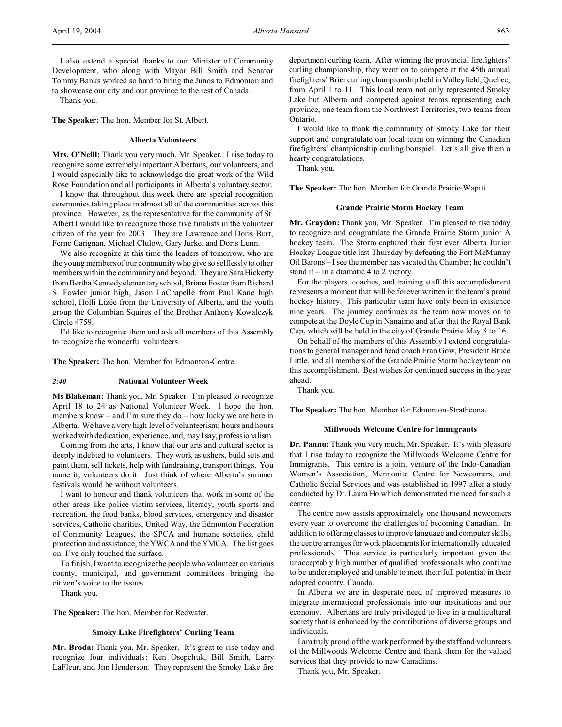I also extend a special thanks to our Minister of Community Development, who along with Mayor Bill Smith and Senator Tommy Banks worked so hard to bring the Junos to Edmonton and to showcase our city and our province to the rest of Canada.

Thank you.

**The Speaker:** The hon. Member for St. Albert.

## **Alberta Volunteers**

**Mrs. O'Neill:** Thank you very much, Mr. Speaker. I rise today to recognize some extremely important Albertans, our volunteers, and I would especially like to acknowledge the great work of the Wild Rose Foundation and all participants in Alberta's voluntary sector.

I know that throughout this week there are special recognition ceremonies taking place in almost all of the communities across this province. However, as the representative for the community of St. Albert I would like to recognize those five finalists in the volunteer citizen of the year for 2003. They are Lawrence and Doris Burt, Ferne Carignan, Michael Clulow, Gary Jurke, and Doris Lunn.

We also recognize at this time the leaders of tomorrow, who are the young members of our community who give so selflessly to other members within the community and beyond. They are Sara Hickerty from Bertha Kennedyelementary school, Briana Foster from Richard S. Fowler junior high, Jason LaChapelle from Paul Kane high school, Holli Lizée from the University of Alberta, and the youth group the Columbian Squires of the Brother Anthony Kowalczyk Circle 4759.

I'd like to recognize them and ask all members of this Assembly to recognize the wonderful volunteers.

**The Speaker:** The hon. Member for Edmonton-Centre.

#### *2:40* **National Volunteer Week**

**Ms Blakeman:** Thank you, Mr. Speaker. I'm pleased to recognize April 18 to 24 as National Volunteer Week. I hope the hon. members know – and I'm sure they do – how lucky we are here in Alberta. We have a very high level of volunteerism: hours and hours worked with dedication, experience, and, may I say, professionalism.

Coming from the arts, I know that our arts and cultural sector is deeply indebted to volunteers. They work as ushers, build sets and paint them, sell tickets, help with fundraising, transport things. You name it; volunteers do it. Just think of where Alberta's summer festivals would be without volunteers.

I want to honour and thank volunteers that work in some of the other areas like police victim services, literacy, youth sports and recreation, the food banks, blood services, emergency and disaster services, Catholic charities, United Way, the Edmonton Federation of Community Leagues, the SPCA and humane societies, child protection and assistance, the YWCA and the YMCA. The list goes on; I've only touched the surface.

To finish, I want to recognize the people who volunteer on various county, municipal, and government committees bringing the citizen's voice to the issues.

Thank you.

**The Speaker:** The hon. Member for Redwater.

## **Smoky Lake Firefighters' Curling Team**

**Mr. Broda:** Thank you, Mr. Speaker. It's great to rise today and recognize four individuals: Ken Osepchuk, Bill Smith, Larry LaFleur, and Jim Henderson. They represent the Smoky Lake fire department curling team. After winning the provincial firefighters' curling championship, they went on to compete at the 45th annual firefighters' Brier curling championship held in Valleyfield, Quebec, from April 1 to 11. This local team not only represented Smoky Lake but Alberta and competed against teams representing each province, one team from the Northwest Territories, two teams from Ontario.

I would like to thank the community of Smoky Lake for their support and congratulate our local team on winning the Canadian firefighters' championship curling bonspiel. Let's all give them a hearty congratulations.

Thank you.

**The Speaker:** The hon. Member for Grande Prairie-Wapiti.

### **Grande Prairie Storm Hockey Team**

**Mr. Graydon:** Thank you, Mr. Speaker. I'm pleased to rise today to recognize and congratulate the Grande Prairie Storm junior A hockey team. The Storm captured their first ever Alberta Junior Hockey League title last Thursday by defeating the Fort McMurray Oil Barons – I see the member has vacated the Chamber; he couldn't stand it – in a dramatic 4 to 2 victory.

For the players, coaches, and training staff this accomplishment represents a moment that will be forever written in the team's proud hockey history. This particular team have only been in existence nine years. The journey continues as the team now moves on to compete at the Doyle Cup in Nanaimo and after that the Royal Bank Cup, which will be held in the city of Grande Prairie May 8 to 16.

On behalf of the members of this Assembly I extend congratulations to general manager and head coach Fran Gow, President Bruce Little, and all members of the Grande Prairie Storm hockey team on this accomplishment. Best wishes for continued success in the year ahead.

Thank you.

**The Speaker:** The hon. Member for Edmonton-Strathcona.

## **Millwoods Welcome Centre for Immigrants**

**Dr. Pannu:** Thank you very much, Mr. Speaker. It's with pleasure that I rise today to recognize the Millwoods Welcome Centre for Immigrants. This centre is a joint venture of the Indo-Canadian Women's Association, Mennonite Centre for Newcomers, and Catholic Social Services and was established in 1997 after a study conducted by Dr. Laura Ho which demonstrated the need for such a centre.

The centre now assists approximately one thousand newcomers every year to overcome the challenges of becoming Canadian. In addition to offering classes to improve language and computer skills, the centre arranges for work placements for internationally educated professionals. This service is particularly important given the unacceptably high number of qualified professionals who continue to be underemployed and unable to meet their full potential in their adopted country, Canada.

In Alberta we are in desperate need of improved measures to integrate international professionals into our institutions and our economy. Albertans are truly privileged to live in a multicultural society that is enhanced by the contributions of diverse groups and individuals.

I am truly proud of the work performed by the staff and volunteers of the Millwoods Welcome Centre and thank them for the valued services that they provide to new Canadians.

Thank you, Mr. Speaker.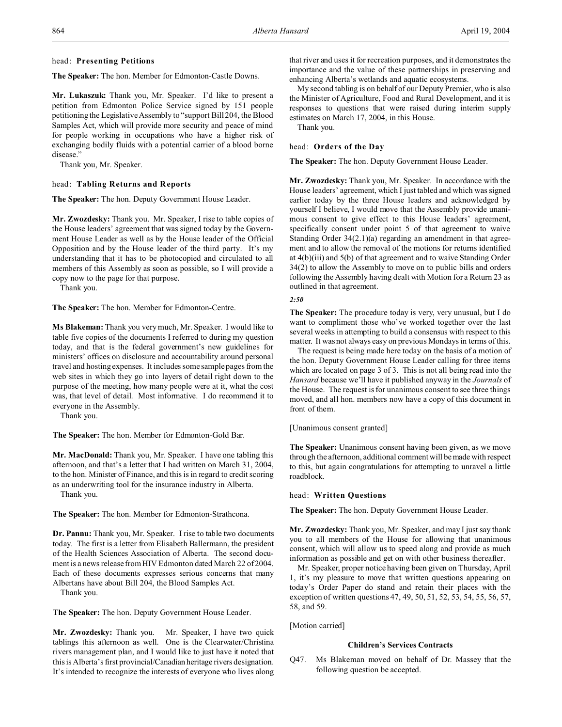## head: **Presenting Petitions**

**The Speaker:** The hon. Member for Edmonton-Castle Downs.

**Mr. Lukaszuk:** Thank you, Mr. Speaker. I'd like to present a petition from Edmonton Police Service signed by 151 people petitioning the Legislative Assembly to "support Bill 204, the Blood Samples Act, which will provide more security and peace of mind for people working in occupations who have a higher risk of exchanging bodily fluids with a potential carrier of a blood borne disease."

Thank you, Mr. Speaker.

## head: **Tabling Returns and Reports**

**The Speaker:** The hon. Deputy Government House Leader.

**Mr. Zwozdesky:** Thank you. Mr. Speaker, I rise to table copies of the House leaders' agreement that was signed today by the Government House Leader as well as by the House leader of the Official Opposition and by the House leader of the third party. It's my understanding that it has to be photocopied and circulated to all members of this Assembly as soon as possible, so I will provide a copy now to the page for that purpose.

Thank you.

**The Speaker:** The hon. Member for Edmonton-Centre.

**Ms Blakeman:** Thank you very much, Mr. Speaker. I would like to table five copies of the documents I referred to during my question today, and that is the federal government's new guidelines for ministers' offices on disclosure and accountability around personal travel and hosting expenses. It includes some sample pages from the web sites in which they go into layers of detail right down to the purpose of the meeting, how many people were at it, what the cost was, that level of detail. Most informative. I do recommend it to everyone in the Assembly.

Thank you.

**The Speaker:** The hon. Member for Edmonton-Gold Bar.

**Mr. MacDonald:** Thank you, Mr. Speaker. I have one tabling this afternoon, and that's a letter that I had written on March 31, 2004, to the hon. Minister of Finance, and this is in regard to credit scoring as an underwriting tool for the insurance industry in Alberta. Thank you.

**The Speaker:** The hon. Member for Edmonton-Strathcona.

**Dr. Pannu:** Thank you, Mr. Speaker. I rise to table two documents today. The first is a letter from Elisabeth Ballermann, the president of the Health Sciences Association of Alberta. The second document is a news release from HIV Edmonton dated March 22 of 2004. Each of these documents expresses serious concerns that many Albertans have about Bill 204, the Blood Samples Act.

Thank you.

**The Speaker:** The hon. Deputy Government House Leader.

**Mr. Zwozdesky:** Thank you. Mr. Speaker, I have two quick tablings this afternoon as well. One is the Clearwater/Christina rivers management plan, and I would like to just have it noted that this is Alberta's first provincial/Canadian heritage rivers designation. It's intended to recognize the interests of everyone who lives along

that river and uses it for recreation purposes, and it demonstrates the importance and the value of these partnerships in preserving and enhancing Alberta's wetlands and aquatic ecosystems.

My second tabling is on behalf of our Deputy Premier, who is also the Minister of Agriculture, Food and Rural Development, and it is responses to questions that were raised during interim supply estimates on March 17, 2004, in this House. Thank you.

## head: **Orders of the Day**

**The Speaker:** The hon. Deputy Government House Leader.

**Mr. Zwozdesky:** Thank you, Mr. Speaker. In accordance with the House leaders' agreement, which I just tabled and which was signed earlier today by the three House leaders and acknowledged by yourself I believe, I would move that the Assembly provide unanimous consent to give effect to this House leaders' agreement, specifically consent under point 5 of that agreement to waive Standing Order 34(2.1)(a) regarding an amendment in that agreement and to allow the removal of the motions for returns identified at 4(b)(iii) and 5(b) of that agreement and to waive Standing Order 34(2) to allow the Assembly to move on to public bills and orders following the Assembly having dealt with Motion for a Return 23 as outlined in that agreement.

#### *2:50*

**The Speaker:** The procedure today is very, very unusual, but I do want to compliment those who've worked together over the last several weeks in attempting to build a consensus with respect to this matter. It was not always easy on previous Mondays in terms of this.

The request is being made here today on the basis of a motion of the hon. Deputy Government House Leader calling for three items which are located on page 3 of 3. This is not all being read into the *Hansard* because we'll have it published anyway in the *Journals* of the House. The request is for unanimous consent to see three things moved, and all hon. members now have a copy of this document in front of them.

[Unanimous consent granted]

**The Speaker:** Unanimous consent having been given, as we move through the afternoon, additional comment will be made with respect to this, but again congratulations for attempting to unravel a little roadblock.

## head: **Written Questions**

**The Speaker:** The hon. Deputy Government House Leader.

**Mr. Zwozdesky:** Thank you, Mr. Speaker, and may I just say thank you to all members of the House for allowing that unanimous consent, which will allow us to speed along and provide as much information as possible and get on with other business thereafter.

Mr. Speaker, proper notice having been given on Thursday, April 1, it's my pleasure to move that written questions appearing on today's Order Paper do stand and retain their places with the exception of written questions 47, 49, 50, 51, 52, 53, 54, 55, 56, 57, 58, and 59.

[Motion carried]

## **Children's Services Contracts**

Q47. Ms Blakeman moved on behalf of Dr. Massey that the following question be accepted.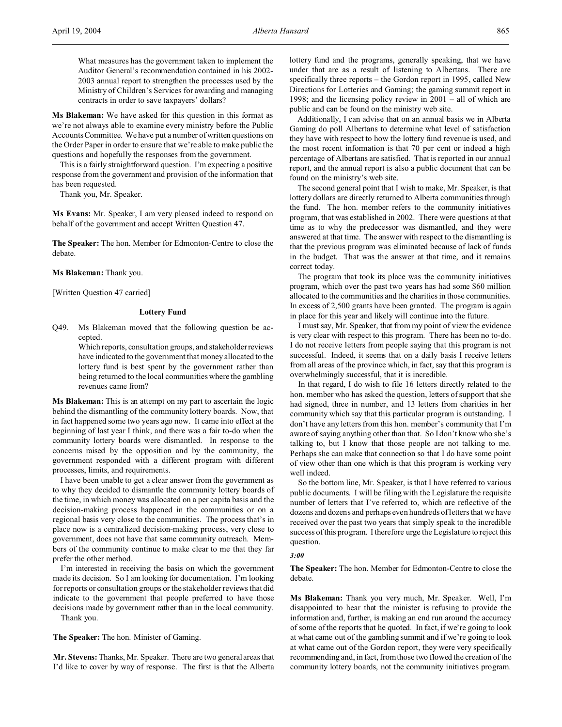**Ms Blakeman:** We have asked for this question in this format as we're not always able to examine every ministry before the Public Accounts Committee. We have put a number of written questions on the Order Paper in order to ensure that we're able to make public the questions and hopefully the responses from the government.

This is a fairly straightforward question. I'm expecting a positive response from the government and provision of the information that has been requested.

Thank you, Mr. Speaker.

**Ms Evans:** Mr. Speaker, I am very pleased indeed to respond on behalf of the government and accept Written Question 47.

**The Speaker:** The hon. Member for Edmonton-Centre to close the debate.

## **Ms Blakeman:** Thank you.

[Written Question 47 carried]

## **Lottery Fund**

Q49. Ms Blakeman moved that the following question be accepted.

> Which reports, consultation groups, and stakeholder reviews have indicated to the government that money allocated to the lottery fund is best spent by the government rather than being returned to the local communities where the gambling revenues came from?

**Ms Blakeman:** This is an attempt on my part to ascertain the logic behind the dismantling of the community lottery boards. Now, that in fact happened some two years ago now. It came into effect at the beginning of last year I think, and there was a fair to-do when the community lottery boards were dismantled. In response to the concerns raised by the opposition and by the community, the government responded with a different program with different processes, limits, and requirements.

I have been unable to get a clear answer from the government as to why they decided to dismantle the community lottery boards of the time, in which money was allocated on a per capita basis and the decision-making process happened in the communities or on a regional basis very close to the communities. The process that's in place now is a centralized decision-making process, very close to government, does not have that same community outreach. Members of the community continue to make clear to me that they far prefer the other method.

I'm interested in receiving the basis on which the government made its decision. So I am looking for documentation. I'm looking for reports or consultation groups or the stakeholder reviews that did indicate to the government that people preferred to have those decisions made by government rather than in the local community. Thank you.

**The Speaker:** The hon. Minister of Gaming.

**Mr. Stevens:** Thanks, Mr. Speaker. There are two general areas that I'd like to cover by way of response. The first is that the Alberta

lottery fund and the programs, generally speaking, that we have under that are as a result of listening to Albertans. There are specifically three reports – the Gordon report in 1995, called New Directions for Lotteries and Gaming; the gaming summit report in 1998; and the licensing policy review in 2001 – all of which are public and can be found on the ministry web site.

Additionally, I can advise that on an annual basis we in Alberta Gaming do poll Albertans to determine what level of satisfaction they have with respect to how the lottery fund revenue is used, and the most recent information is that 70 per cent or indeed a high percentage of Albertans are satisfied. That is reported in our annual report, and the annual report is also a public document that can be found on the ministry's web site.

The second general point that I wish to make, Mr. Speaker, is that lottery dollars are directly returned to Alberta communities through the fund. The hon. member refers to the community initiatives program, that was established in 2002. There were questions at that time as to why the predecessor was dismantled, and they were answered at that time. The answer with respect to the dismantling is that the previous program was eliminated because of lack of funds in the budget. That was the answer at that time, and it remains correct today.

The program that took its place was the community initiatives program, which over the past two years has had some \$60 million allocated to the communities and the charities in those communities. In excess of 2,500 grants have been granted. The program is again in place for this year and likely will continue into the future.

I must say, Mr. Speaker, that from my point of view the evidence is very clear with respect to this program. There has been no to-do. I do not receive letters from people saying that this program is not successful. Indeed, it seems that on a daily basis I receive letters from all areas of the province which, in fact, say that this program is overwhelmingly successful, that it is incredible.

In that regard, I do wish to file 16 letters directly related to the hon. member who has asked the question, letters of support that she had signed, three in number, and 13 letters from charities in her community which say that this particular program is outstanding. I don't have any letters from this hon. member's community that I'm aware of saying anything other than that. So I don't know who she's talking to, but I know that those people are not talking to me. Perhaps she can make that connection so that I do have some point of view other than one which is that this program is working very well indeed.

So the bottom line, Mr. Speaker, is that I have referred to various public documents. I will be filing with the Legislature the requisite number of letters that I've referred to, which are reflective of the dozens and dozens and perhaps even hundreds of letters that we have received over the past two years that simply speak to the incredible success of this program. I therefore urge the Legislature to reject this question.

### *3:00*

**The Speaker:** The hon. Member for Edmonton-Centre to close the debate.

**Ms Blakeman:** Thank you very much, Mr. Speaker. Well, I'm disappointed to hear that the minister is refusing to provide the information and, further, is making an end run around the accuracy of some of the reports that he quoted. In fact, if we're going to look at what came out of the gambling summit and if we're going to look at what came out of the Gordon report, they were very specifically recommending and, in fact, from those two flowed the creation of the community lottery boards, not the community initiatives program.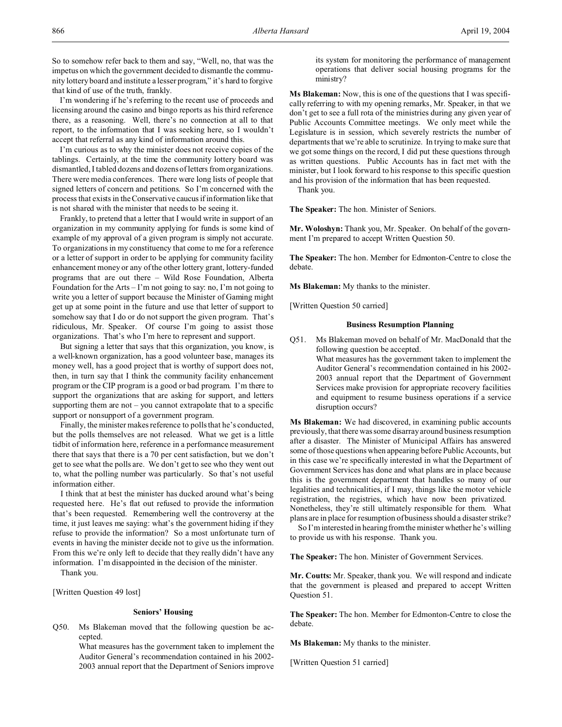So to somehow refer back to them and say, "Well, no, that was the impetus on which the government decided to dismantle the community lottery board and institute a lesser program," it's hard to forgive that kind of use of the truth, frankly.

I'm wondering if he's referring to the recent use of proceeds and licensing around the casino and bingo reports as his third reference there, as a reasoning. Well, there's no connection at all to that report, to the information that I was seeking here, so I wouldn't accept that referral as any kind of information around this.

I'm curious as to why the minister does not receive copies of the tablings. Certainly, at the time the community lottery board was dismantled, I tabled dozens and dozens of letters from organizations. There were media conferences. There were long lists of people that signed letters of concern and petitions. So I'm concerned with the process that exists in the Conservative caucus if information like that is not shared with the minister that needs to be seeing it.

Frankly, to pretend that a letter that I would write in support of an organization in my community applying for funds is some kind of example of my approval of a given program is simply not accurate. To organizations in my constituency that come to me for a reference or a letter of support in order to be applying for community facility enhancement money or any of the other lottery grant, lottery-funded programs that are out there – Wild Rose Foundation, Alberta Foundation for the Arts – I'm not going to say: no, I'm not going to write you a letter of support because the Minister of Gaming might get up at some point in the future and use that letter of support to somehow say that I do or do not support the given program. That's ridiculous, Mr. Speaker. Of course I'm going to assist those organizations. That's who I'm here to represent and support.

But signing a letter that says that this organization, you know, is a well-known organization, has a good volunteer base, manages its money well, has a good project that is worthy of support does not, then, in turn say that I think the community facility enhancement program or the CIP program is a good or bad program. I'm there to support the organizations that are asking for support, and letters supporting them are not – you cannot extrapolate that to a specific support or nonsupport of a government program.

Finally, the minister makes reference to polls that he's conducted, but the polls themselves are not released. What we get is a little tidbit of information here, reference in a performance measurement there that says that there is a 70 per cent satisfaction, but we don't get to see what the polls are. We don't get to see who they went out to, what the polling number was particularly. So that's not useful information either.

I think that at best the minister has ducked around what's being requested here. He's flat out refused to provide the information that's been requested. Remembering well the controversy at the time, it just leaves me saying: what's the government hiding if they refuse to provide the information? So a most unfortunate turn of events in having the minister decide not to give us the information. From this we're only left to decide that they really didn't have any information. I'm disappointed in the decision of the minister.

Thank you.

[Written Question 49 lost]

### **Seniors' Housing**

Q50. Ms Blakeman moved that the following question be accepted.

> What measures has the government taken to implement the Auditor General's recommendation contained in his 2002- 2003 annual report that the Department of Seniors improve

its system for monitoring the performance of management operations that deliver social housing programs for the ministry?

**Ms Blakeman:** Now, this is one of the questions that I was specifically referring to with my opening remarks, Mr. Speaker, in that we don't get to see a full rota of the ministries during any given year of Public Accounts Committee meetings. We only meet while the Legislature is in session, which severely restricts the number of departments that we're able to scrutinize. In trying to make sure that we got some things on the record, I did put these questions through as written questions. Public Accounts has in fact met with the minister, but I look forward to his response to this specific question and his provision of the information that has been requested.

Thank you.

**The Speaker:** The hon. Minister of Seniors.

**Mr. Woloshyn:** Thank you, Mr. Speaker. On behalf of the government I'm prepared to accept Written Question 50.

**The Speaker:** The hon. Member for Edmonton-Centre to close the debate.

**Ms Blakeman:** My thanks to the minister.

[Written Question 50 carried]

#### **Business Resumption Planning**

- Q51. Ms Blakeman moved on behalf of Mr. MacDonald that the following question be accepted.
	- What measures has the government taken to implement the Auditor General's recommendation contained in his 2002- 2003 annual report that the Department of Government Services make provision for appropriate recovery facilities and equipment to resume business operations if a service disruption occurs?

**Ms Blakeman:** We had discovered, in examining public accounts previously, that there was some disarray around business resumption after a disaster. The Minister of Municipal Affairs has answered some of those questions when appearing before Public Accounts, but in this case we're specifically interested in what the Department of Government Services has done and what plans are in place because this is the government department that handles so many of our legalities and technicalities, if I may, things like the motor vehicle registration, the registries, which have now been privatized. Nonetheless, they're still ultimately responsible for them. What plans are in place for resumption of business should a disaster strike?

So I'm interested in hearing from the minister whether he's willing to provide us with his response. Thank you.

**The Speaker:** The hon. Minister of Government Services.

**Mr. Coutts:** Mr. Speaker, thank you. We will respond and indicate that the government is pleased and prepared to accept Written Question 51.

**The Speaker:** The hon. Member for Edmonton-Centre to close the debate.

**Ms Blakeman:** My thanks to the minister.

[Written Question 51 carried]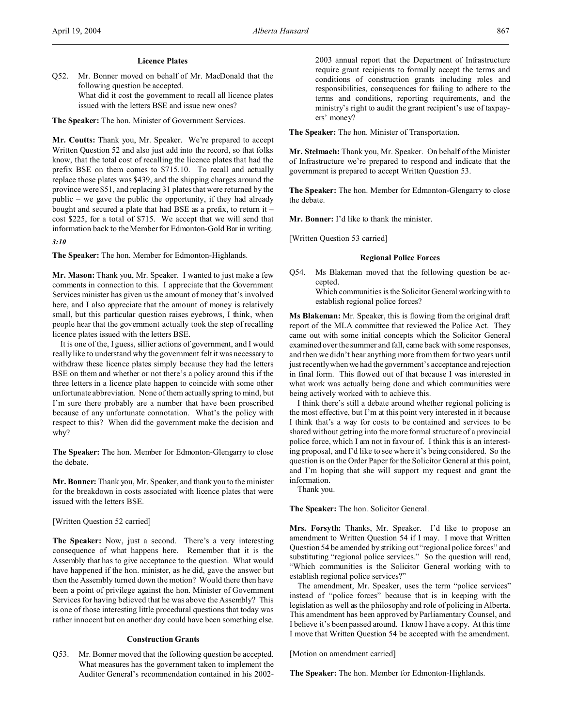## **Licence Plates**

Q52. Mr. Bonner moved on behalf of Mr. MacDonald that the following question be accepted. What did it cost the government to recall all licence plates issued with the letters BSE and issue new ones?

**The Speaker:** The hon. Minister of Government Services.

**Mr. Coutts:** Thank you, Mr. Speaker. We're prepared to accept Written Question 52 and also just add into the record, so that folks know, that the total cost of recalling the licence plates that had the prefix BSE on them comes to \$715.10. To recall and actually replace those plates was \$439, and the shipping charges around the province were \$51, and replacing 31 plates that were returned by the public – we gave the public the opportunity, if they had already bought and secured a plate that had BSE as a prefix, to return it – cost \$225, for a total of \$715. We accept that we will send that information back to the Member for Edmonton-Gold Bar in writing.

*3:10*

**The Speaker:** The hon. Member for Edmonton-Highlands.

**Mr. Mason:** Thank you, Mr. Speaker. I wanted to just make a few comments in connection to this. I appreciate that the Government Services minister has given us the amount of money that's involved here, and I also appreciate that the amount of money is relatively small, but this particular question raises eyebrows, I think, when people hear that the government actually took the step of recalling licence plates issued with the letters BSE.

It is one of the, I guess, sillier actions of government, and I would really like to understand why the government felt it was necessary to withdraw these licence plates simply because they had the letters BSE on them and whether or not there's a policy around this if the three letters in a licence plate happen to coincide with some other unfortunate abbreviation. None of them actually spring to mind, but I'm sure there probably are a number that have been proscribed because of any unfortunate connotation. What's the policy with respect to this? When did the government make the decision and why?

**The Speaker:** The hon. Member for Edmonton-Glengarry to close the debate.

**Mr. Bonner:** Thank you, Mr. Speaker, and thank you to the minister for the breakdown in costs associated with licence plates that were issued with the letters BSE.

[Written Question 52 carried]

**The Speaker:** Now, just a second. There's a very interesting consequence of what happens here. Remember that it is the Assembly that has to give acceptance to the question. What would have happened if the hon. minister, as he did, gave the answer but then the Assembly turned down the motion? Would there then have been a point of privilege against the hon. Minister of Government Services for having believed that he was above the Assembly? This is one of those interesting little procedural questions that today was rather innocent but on another day could have been something else.

## **Construction Grants**

Q53. Mr. Bonner moved that the following question be accepted. What measures has the government taken to implement the Auditor General's recommendation contained in his 20022003 annual report that the Department of Infrastructure require grant recipients to formally accept the terms and conditions of construction grants including roles and responsibilities, consequences for failing to adhere to the terms and conditions, reporting requirements, and the ministry's right to audit the grant recipient's use of taxpayers' money?

**The Speaker:** The hon. Minister of Transportation.

**Mr. Stelmach:** Thank you, Mr. Speaker. On behalf of the Minister of Infrastructure we're prepared to respond and indicate that the government is prepared to accept Written Question 53.

**The Speaker:** The hon. Member for Edmonton-Glengarry to close the debate.

**Mr. Bonner:** I'd like to thank the minister.

[Written Question 53 carried]

## **Regional Police Forces**

Q54. Ms Blakeman moved that the following question be accepted.

> Which communities is the Solicitor General working with to establish regional police forces?

**Ms Blakeman:** Mr. Speaker, this is flowing from the original draft report of the MLA committee that reviewed the Police Act. They came out with some initial concepts which the Solicitor General examined over the summer and fall, came back with some responses, and then we didn't hear anything more from them for two years until just recently when we had the government's acceptance and rejection in final form. This flowed out of that because I was interested in what work was actually being done and which communities were being actively worked with to achieve this.

I think there's still a debate around whether regional policing is the most effective, but I'm at this point very interested in it because I think that's a way for costs to be contained and services to be shared without getting into the more formal structure of a provincial police force, which I am not in favour of. I think this is an interesting proposal, and I'd like to see where it's being considered. So the question is on the Order Paper for the Solicitor General at this point, and I'm hoping that she will support my request and grant the information.

Thank you.

**The Speaker:** The hon. Solicitor General.

**Mrs. Forsyth:** Thanks, Mr. Speaker. I'd like to propose an amendment to Written Question 54 if I may. I move that Written Question 54 be amended by striking out "regional police forces" and substituting "regional police services." So the question will read, "Which communities is the Solicitor General working with to establish regional police services?"

The amendment, Mr. Speaker, uses the term "police services" instead of "police forces" because that is in keeping with the legislation as well as the philosophy and role of policing in Alberta. This amendment has been approved by Parliamentary Counsel, and I believe it's been passed around. I know I have a copy. At this time I move that Written Question 54 be accepted with the amendment.

[Motion on amendment carried]

**The Speaker:** The hon. Member for Edmonton-Highlands.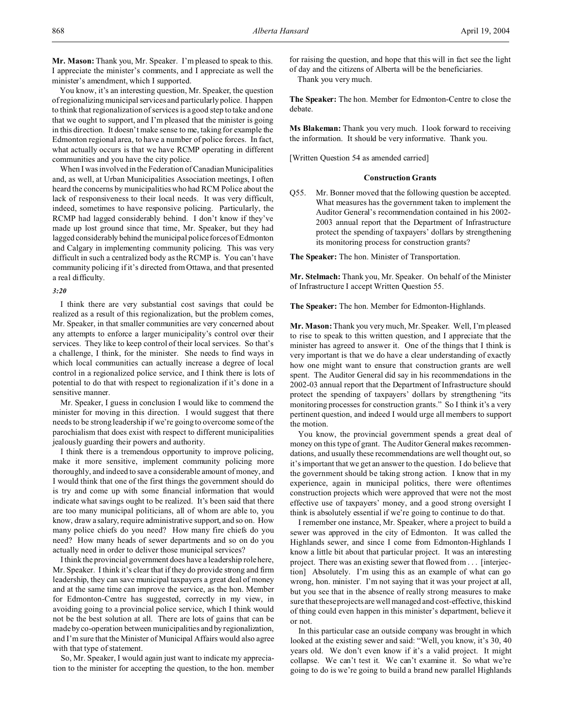**Mr. Mason:** Thank you, Mr. Speaker. I'm pleased to speak to this. I appreciate the minister's comments, and I appreciate as well the minister's amendment, which I supported.

You know, it's an interesting question, Mr. Speaker, the question of regionalizing municipal services and particularly police. I happen to think that regionalization of services is a good step to take and one that we ought to support, and I'm pleased that the minister is going in this direction. It doesn't make sense to me, taking for example the Edmonton regional area, to have a number of police forces. In fact, what actually occurs is that we have RCMP operating in different communities and you have the city police.

When I was involved in the Federation of Canadian Municipalities and, as well, at Urban Municipalities Association meetings, I often heard the concerns by municipalities who had RCM Police about the lack of responsiveness to their local needs. It was very difficult, indeed, sometimes to have responsive policing. Particularly, the RCMP had lagged considerably behind. I don't know if they've made up lost ground since that time, Mr. Speaker, but they had lagged considerably behind the municipal police forces of Edmonton and Calgary in implementing community policing. This was very difficult in such a centralized body as the RCMP is. You can't have community policing if it's directed from Ottawa, and that presented a real difficulty.

### *3:20*

I think there are very substantial cost savings that could be realized as a result of this regionalization, but the problem comes, Mr. Speaker, in that smaller communities are very concerned about any attempts to enforce a larger municipality's control over their services. They like to keep control of their local services. So that's a challenge, I think, for the minister. She needs to find ways in which local communities can actually increase a degree of local control in a regionalized police service, and I think there is lots of potential to do that with respect to regionalization if it's done in a sensitive manner.

Mr. Speaker, I guess in conclusion I would like to commend the minister for moving in this direction. I would suggest that there needs to be strong leadership if we're going to overcome some of the parochialism that does exist with respect to different municipalities jealously guarding their powers and authority.

I think there is a tremendous opportunity to improve policing, make it more sensitive, implement community policing more thoroughly, and indeed to save a considerable amount of money, and I would think that one of the first things the government should do is try and come up with some financial information that would indicate what savings ought to be realized. It's been said that there are too many municipal politicians, all of whom are able to, you know, draw a salary, require administrative support, and so on. How many police chiefs do you need? How many fire chiefs do you need? How many heads of sewer departments and so on do you actually need in order to deliver those municipal services?

I think the provincial government does have a leadership role here, Mr. Speaker. I think it's clear that if they do provide strong and firm leadership, they can save municipal taxpayers a great deal of money and at the same time can improve the service, as the hon. Member for Edmonton-Centre has suggested, correctly in my view, in avoiding going to a provincial police service, which I think would not be the best solution at all. There are lots of gains that can be made by co-operation between municipalities and by regionalization, and I'm sure that the Minister of Municipal Affairs would also agree with that type of statement.

So, Mr. Speaker, I would again just want to indicate my appreciation to the minister for accepting the question, to the hon. member

for raising the question, and hope that this will in fact see the light of day and the citizens of Alberta will be the beneficiaries. Thank you very much.

**The Speaker:** The hon. Member for Edmonton-Centre to close the debate.

**Ms Blakeman:** Thank you very much. I look forward to receiving the information. It should be very informative. Thank you.

[Written Question 54 as amended carried]

#### **Construction Grants**

Q55. Mr. Bonner moved that the following question be accepted. What measures has the government taken to implement the Auditor General's recommendation contained in his 2002- 2003 annual report that the Department of Infrastructure protect the spending of taxpayers' dollars by strengthening its monitoring process for construction grants?

**The Speaker:** The hon. Minister of Transportation.

**Mr. Stelmach:** Thank you, Mr. Speaker. On behalf of the Minister of Infrastructure I accept Written Question 55.

**The Speaker:** The hon. Member for Edmonton-Highlands.

**Mr. Mason:** Thank you very much, Mr. Speaker. Well, I'm pleased to rise to speak to this written question, and I appreciate that the minister has agreed to answer it. One of the things that I think is very important is that we do have a clear understanding of exactly how one might want to ensure that construction grants are well spent. The Auditor General did say in his recommendations in the 2002-03 annual report that the Department of Infrastructure should protect the spending of taxpayers' dollars by strengthening "its monitoring processes for construction grants." So I think it's a very pertinent question, and indeed I would urge all members to support the motion.

You know, the provincial government spends a great deal of money on this type of grant. The Auditor General makes recommendations, and usually these recommendations are well thought out, so it's important that we get an answer to the question. I do believe that the government should be taking strong action. I know that in my experience, again in municipal politics, there were oftentimes construction projects which were approved that were not the most effective use of taxpayers' money, and a good strong oversight I think is absolutely essential if we're going to continue to do that.

I remember one instance, Mr. Speaker, where a project to build a sewer was approved in the city of Edmonton. It was called the Highlands sewer, and since I come from Edmonton-Highlands I know a little bit about that particular project. It was an interesting project. There was an existing sewer that flowed from . . . [interjection] Absolutely. I'm using this as an example of what can go wrong, hon. minister. I'm not saying that it was your project at all, but you see that in the absence of really strong measures to make sure that these projects are well managed and cost-effective, this kind of thing could even happen in this minister's department, believe it or not.

In this particular case an outside company was brought in which looked at the existing sewer and said: "Well, you know, it's 30, 40 years old. We don't even know if it's a valid project. It might collapse. We can't test it. We can't examine it. So what we're going to do is we're going to build a brand new parallel Highlands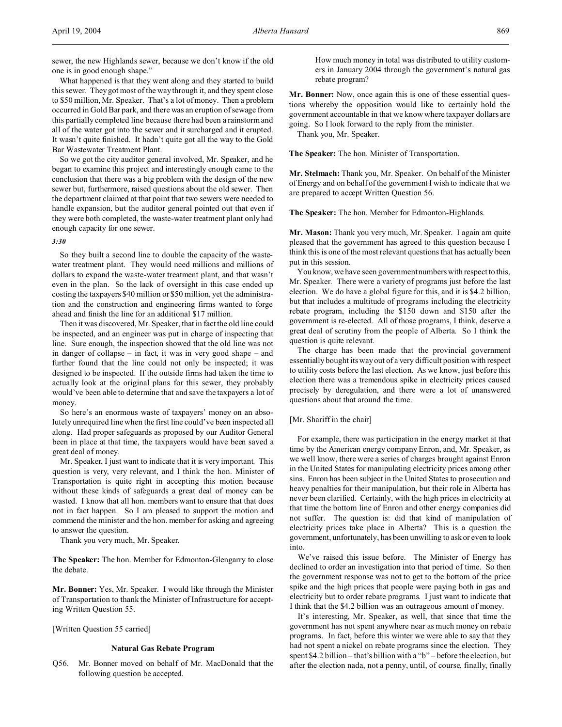sewer, the new Highlands sewer, because we don't know if the old one is in good enough shape."

What happened is that they went along and they started to build this sewer. They got most of the way through it, and they spent close to \$50 million, Mr. Speaker. That's a lot of money. Then a problem occurred in Gold Bar park, and there was an eruption of sewage from this partially completed line because there had been a rainstorm and all of the water got into the sewer and it surcharged and it erupted. It wasn't quite finished. It hadn't quite got all the way to the Gold Bar Wastewater Treatment Plant.

So we got the city auditor general involved, Mr. Speaker, and he began to examine this project and interestingly enough came to the conclusion that there was a big problem with the design of the new sewer but, furthermore, raised questions about the old sewer. Then the department claimed at that point that two sewers were needed to handle expansion, but the auditor general pointed out that even if they were both completed, the waste-water treatment plant only had enough capacity for one sewer.

## *3:30*

So they built a second line to double the capacity of the wastewater treatment plant. They would need millions and millions of dollars to expand the waste-water treatment plant, and that wasn't even in the plan. So the lack of oversight in this case ended up costing the taxpayers \$40 million or \$50 million, yet the administration and the construction and engineering firms wanted to forge ahead and finish the line for an additional \$17 million.

Then it was discovered, Mr. Speaker, that in fact the old line could be inspected, and an engineer was put in charge of inspecting that line. Sure enough, the inspection showed that the old line was not in danger of collapse – in fact, it was in very good shape – and further found that the line could not only be inspected; it was designed to be inspected. If the outside firms had taken the time to actually look at the original plans for this sewer, they probably would've been able to determine that and save the taxpayers a lot of money.

So here's an enormous waste of taxpayers' money on an absolutely unrequired line when the first line could've been inspected all along. Had proper safeguards as proposed by our Auditor General been in place at that time, the taxpayers would have been saved a great deal of money.

Mr. Speaker, I just want to indicate that it is very important. This question is very, very relevant, and I think the hon. Minister of Transportation is quite right in accepting this motion because without these kinds of safeguards a great deal of money can be wasted. I know that all hon. members want to ensure that that does not in fact happen. So I am pleased to support the motion and commend the minister and the hon. member for asking and agreeing to answer the question.

Thank you very much, Mr. Speaker.

**The Speaker:** The hon. Member for Edmonton-Glengarry to close the debate.

**Mr. Bonner:** Yes, Mr. Speaker. I would like through the Minister of Transportation to thank the Minister of Infrastructure for accepting Written Question 55.

[Written Question 55 carried]

#### **Natural Gas Rebate Program**

Q56. Mr. Bonner moved on behalf of Mr. MacDonald that the following question be accepted.

How much money in total was distributed to utility customers in January 2004 through the government's natural gas rebate program?

**Mr. Bonner:** Now, once again this is one of these essential questions whereby the opposition would like to certainly hold the government accountable in that we know where taxpayer dollars are going. So I look forward to the reply from the minister.

Thank you, Mr. Speaker.

**The Speaker:** The hon. Minister of Transportation.

**Mr. Stelmach:** Thank you, Mr. Speaker. On behalf of the Minister of Energy and on behalf of the government I wish to indicate that we are prepared to accept Written Question 56.

**The Speaker:** The hon. Member for Edmonton-Highlands.

**Mr. Mason:** Thank you very much, Mr. Speaker. I again am quite pleased that the government has agreed to this question because I think this is one of the most relevant questions that has actually been put in this session.

You know, we have seen government numbers with respect to this, Mr. Speaker. There were a variety of programs just before the last election. We do have a global figure for this, and it is \$4.2 billion, but that includes a multitude of programs including the electricity rebate program, including the \$150 down and \$150 after the government is re-elected. All of those programs, I think, deserve a great deal of scrutiny from the people of Alberta. So I think the question is quite relevant.

The charge has been made that the provincial government essentially bought its way out of a very difficult position with respect to utility costs before the last election. As we know, just before this election there was a tremendous spike in electricity prices caused precisely by deregulation, and there were a lot of unanswered questions about that around the time.

## [Mr. Shariff in the chair]

For example, there was participation in the energy market at that time by the American energy company Enron, and, Mr. Speaker, as we well know, there were a series of charges brought against Enron in the United States for manipulating electricity prices among other sins. Enron has been subject in the United States to prosecution and heavy penalties for their manipulation, but their role in Alberta has never been clarified. Certainly, with the high prices in electricity at that time the bottom line of Enron and other energy companies did not suffer. The question is: did that kind of manipulation of electricity prices take place in Alberta? This is a question the government, unfortunately, has been unwilling to ask or even to look into.

We've raised this issue before. The Minister of Energy has declined to order an investigation into that period of time. So then the government response was not to get to the bottom of the price spike and the high prices that people were paying both in gas and electricity but to order rebate programs. I just want to indicate that I think that the \$4.2 billion was an outrageous amount of money.

It's interesting, Mr. Speaker, as well, that since that time the government has not spent anywhere near as much money on rebate programs. In fact, before this winter we were able to say that they had not spent a nickel on rebate programs since the election. They spent \$4.2 billion – that's billion with a "b" – before the election, but after the election nada, not a penny, until, of course, finally, finally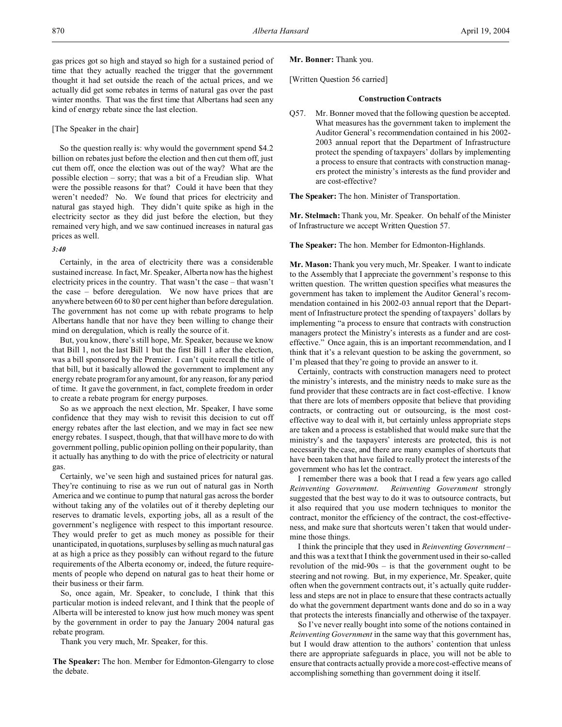gas prices got so high and stayed so high for a sustained period of time that they actually reached the trigger that the government thought it had set outside the reach of the actual prices, and we actually did get some rebates in terms of natural gas over the past winter months. That was the first time that Albertans had seen any kind of energy rebate since the last election.

### [The Speaker in the chair]

So the question really is: why would the government spend \$4.2 billion on rebates just before the election and then cut them off, just cut them off, once the election was out of the way? What are the possible election – sorry; that was a bit of a Freudian slip. What were the possible reasons for that? Could it have been that they weren't needed? No. We found that prices for electricity and natural gas stayed high. They didn't quite spike as high in the electricity sector as they did just before the election, but they remained very high, and we saw continued increases in natural gas prices as well.

### *3:40*

Certainly, in the area of electricity there was a considerable sustained increase. In fact, Mr. Speaker, Alberta now has the highest electricity prices in the country. That wasn't the case – that wasn't the case – before deregulation. We now have prices that are anywhere between 60 to 80 per cent higher than before deregulation. The government has not come up with rebate programs to help Albertans handle that nor have they been willing to change their mind on deregulation, which is really the source of it.

But, you know, there's still hope, Mr. Speaker, because we know that Bill 1, not the last Bill 1 but the first Bill 1 after the election, was a bill sponsored by the Premier. I can't quite recall the title of that bill, but it basically allowed the government to implement any energy rebate program for any amount, for any reason, for any period of time. It gave the government, in fact, complete freedom in order to create a rebate program for energy purposes.

So as we approach the next election, Mr. Speaker, I have some confidence that they may wish to revisit this decision to cut off energy rebates after the last election, and we may in fact see new energy rebates. I suspect, though, that that will have more to do with government polling, public opinion polling on their popularity, than it actually has anything to do with the price of electricity or natural gas.

Certainly, we've seen high and sustained prices for natural gas. They're continuing to rise as we run out of natural gas in North America and we continue to pump that natural gas across the border without taking any of the volatiles out of it thereby depleting our reserves to dramatic levels, exporting jobs, all as a result of the government's negligence with respect to this important resource. They would prefer to get as much money as possible for their unanticipated, in quotations, surpluses by selling as much natural gas at as high a price as they possibly can without regard to the future requirements of the Alberta economy or, indeed, the future requirements of people who depend on natural gas to heat their home or their business or their farm.

So, once again, Mr. Speaker, to conclude, I think that this particular motion is indeed relevant, and I think that the people of Alberta will be interested to know just how much money was spent by the government in order to pay the January 2004 natural gas rebate program.

Thank you very much, Mr. Speaker, for this.

**The Speaker:** The hon. Member for Edmonton-Glengarry to close the debate.

## **Mr. Bonner:** Thank you.

[Written Question 56 carried]

#### **Construction Contracts**

Q57. Mr. Bonner moved that the following question be accepted. What measures has the government taken to implement the Auditor General's recommendation contained in his 2002- 2003 annual report that the Department of Infrastructure protect the spending of taxpayers' dollars by implementing a process to ensure that contracts with construction managers protect the ministry's interests as the fund provider and are cost-effective?

**The Speaker:** The hon. Minister of Transportation.

**Mr. Stelmach:** Thank you, Mr. Speaker. On behalf of the Minister of Infrastructure we accept Written Question 57.

**The Speaker:** The hon. Member for Edmonton-Highlands.

**Mr. Mason:** Thank you very much, Mr. Speaker. I want to indicate to the Assembly that I appreciate the government's response to this written question. The written question specifies what measures the government has taken to implement the Auditor General's recommendation contained in his 2002-03 annual report that the Department of Infrastructure protect the spending of taxpayers' dollars by implementing "a process to ensure that contracts with construction managers protect the Ministry's interests as a funder and are costeffective." Once again, this is an important recommendation, and I think that it's a relevant question to be asking the government, so I'm pleased that they're going to provide an answer to it.

Certainly, contracts with construction managers need to protect the ministry's interests, and the ministry needs to make sure as the fund provider that these contracts are in fact cost-effective. I know that there are lots of members opposite that believe that providing contracts, or contracting out or outsourcing, is the most costeffective way to deal with it, but certainly unless appropriate steps are taken and a process is established that would make sure that the ministry's and the taxpayers' interests are protected, this is not necessarily the case, and there are many examples of shortcuts that have been taken that have failed to really protect the interests of the government who has let the contract.

I remember there was a book that I read a few years ago called *Reinventing Government*. *Reinventing Government* strongly suggested that the best way to do it was to outsource contracts, but it also required that you use modern techniques to monitor the contract, monitor the efficiency of the contract, the cost-effectiveness, and make sure that shortcuts weren't taken that would undermine those things.

I think the principle that they used in *Reinventing Government* – and this was a text that I think the government used in their so-called revolution of the mid-90s – is that the government ought to be steering and not rowing. But, in my experience, Mr. Speaker, quite often when the government contracts out, it's actually quite rudderless and steps are not in place to ensure that these contracts actually do what the government department wants done and do so in a way that protects the interests financially and otherwise of the taxpayer.

So I've never really bought into some of the notions contained in *Reinventing Government* in the same way that this government has, but I would draw attention to the authors' contention that unless there are appropriate safeguards in place, you will not be able to ensure that contracts actually provide a more cost-effective means of accomplishing something than government doing it itself.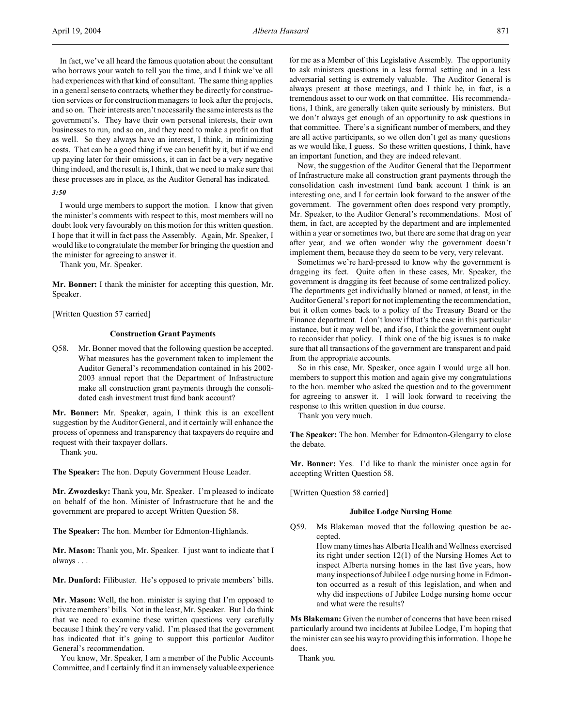In fact, we've all heard the famous quotation about the consultant who borrows your watch to tell you the time, and I think we've all had experiences with that kind of consultant. The same thing applies in a general sense to contracts, whether they be directly for construction services or for construction managers to look after the projects, and so on. Their interests aren't necessarily the same interests as the government's. They have their own personal interests, their own businesses to run, and so on, and they need to make a profit on that as well. So they always have an interest, I think, in minimizing costs. That can be a good thing if we can benefit by it, but if we end up paying later for their omissions, it can in fact be a very negative thing indeed, and the result is, I think, that we need to make sure that these processes are in place, as the Auditor General has indicated.

### *3:50*

I would urge members to support the motion. I know that given the minister's comments with respect to this, most members will no doubt look very favourably on this motion for this written question. I hope that it will in fact pass the Assembly. Again, Mr. Speaker, I would like to congratulate the member for bringing the question and the minister for agreeing to answer it.

Thank you, Mr. Speaker.

**Mr. Bonner:** I thank the minister for accepting this question, Mr. Speaker.

[Written Question 57 carried]

## **Construction Grant Payments**

Q58. Mr. Bonner moved that the following question be accepted. What measures has the government taken to implement the Auditor General's recommendation contained in his 2002- 2003 annual report that the Department of Infrastructure make all construction grant payments through the consolidated cash investment trust fund bank account?

**Mr. Bonner:** Mr. Speaker, again, I think this is an excellent suggestion by the Auditor General, and it certainly will enhance the process of openness and transparency that taxpayers do require and request with their taxpayer dollars.

Thank you.

**The Speaker:** The hon. Deputy Government House Leader.

**Mr. Zwozdesky:** Thank you, Mr. Speaker. I'm pleased to indicate on behalf of the hon. Minister of Infrastructure that he and the government are prepared to accept Written Question 58.

**The Speaker:** The hon. Member for Edmonton-Highlands.

**Mr. Mason:** Thank you, Mr. Speaker. I just want to indicate that I always . . .

**Mr. Dunford:** Filibuster. He's opposed to private members' bills.

**Mr. Mason:** Well, the hon. minister is saying that I'm opposed to private members' bills. Not in the least, Mr. Speaker. But I do think that we need to examine these written questions very carefully because I think they're very valid. I'm pleased that the government has indicated that it's going to support this particular Auditor General's recommendation.

You know, Mr. Speaker, I am a member of the Public Accounts Committee, and I certainly find it an immensely valuable experience

for me as a Member of this Legislative Assembly. The opportunity to ask ministers questions in a less formal setting and in a less adversarial setting is extremely valuable. The Auditor General is always present at those meetings, and I think he, in fact, is a tremendous asset to our work on that committee. His recommendations, I think, are generally taken quite seriously by ministers. But we don't always get enough of an opportunity to ask questions in that committee. There's a significant number of members, and they are all active participants, so we often don't get as many questions as we would like, I guess. So these written questions, I think, have an important function, and they are indeed relevant.

Now, the suggestion of the Auditor General that the Department of Infrastructure make all construction grant payments through the consolidation cash investment fund bank account I think is an interesting one, and I for certain look forward to the answer of the government. The government often does respond very promptly, Mr. Speaker, to the Auditor General's recommendations. Most of them, in fact, are accepted by the department and are implemented within a year or sometimes two, but there are some that drag on year after year, and we often wonder why the government doesn't implement them, because they do seem to be very, very relevant.

Sometimes we're hard-pressed to know why the government is dragging its feet. Quite often in these cases, Mr. Speaker, the government is dragging its feet because of some centralized policy. The departments get individually blamed or named, at least, in the Auditor General's report for not implementing the recommendation, but it often comes back to a policy of the Treasury Board or the Finance department. I don't know if that's the case in this particular instance, but it may well be, and if so, I think the government ought to reconsider that policy. I think one of the big issues is to make sure that all transactions of the government are transparent and paid from the appropriate accounts.

So in this case, Mr. Speaker, once again I would urge all hon. members to support this motion and again give my congratulations to the hon. member who asked the question and to the government for agreeing to answer it. I will look forward to receiving the response to this written question in due course.

Thank you very much.

**The Speaker:** The hon. Member for Edmonton-Glengarry to close the debate.

**Mr. Bonner:** Yes. I'd like to thank the minister once again for accepting Written Question 58.

[Written Question 58 carried]

#### **Jubilee Lodge Nursing Home**

Q59. Ms Blakeman moved that the following question be accepted.

> How many times has Alberta Health and Wellness exercised its right under section 12(1) of the Nursing Homes Act to inspect Alberta nursing homes in the last five years, how many inspections of Jubilee Lodge nursing home in Edmonton occurred as a result of this legislation, and when and why did inspections of Jubilee Lodge nursing home occur and what were the results?

**Ms Blakeman:** Given the number of concerns that have been raised particularly around two incidents at Jubilee Lodge, I'm hoping that the minister can see his way to providing this information. I hope he does.

Thank you.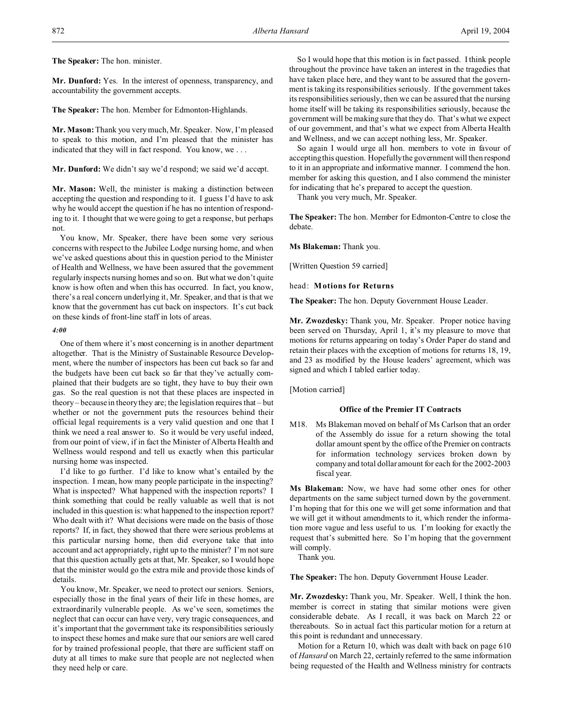**The Speaker:** The hon. minister.

**Mr. Dunford:** Yes. In the interest of openness, transparency, and accountability the government accepts.

**The Speaker:** The hon. Member for Edmonton-Highlands.

**Mr. Mason:** Thank you very much, Mr. Speaker. Now, I'm pleased to speak to this motion, and I'm pleased that the minister has indicated that they will in fact respond. You know, we . . .

**Mr. Dunford:** We didn't say we'd respond; we said we'd accept.

**Mr. Mason:** Well, the minister is making a distinction between accepting the question and responding to it. I guess I'd have to ask why he would accept the question if he has no intention of responding to it. I thought that we were going to get a response, but perhaps not.

You know, Mr. Speaker, there have been some very serious concerns with respect to the Jubilee Lodge nursing home, and when we've asked questions about this in question period to the Minister of Health and Wellness, we have been assured that the government regularly inspects nursing homes and so on. But what we don't quite know is how often and when this has occurred. In fact, you know, there's a real concern underlying it, Mr. Speaker, and that is that we know that the government has cut back on inspectors. It's cut back on these kinds of front-line staff in lots of areas.

#### *4:00*

One of them where it's most concerning is in another department altogether. That is the Ministry of Sustainable Resource Development, where the number of inspectors has been cut back so far and the budgets have been cut back so far that they've actually complained that their budgets are so tight, they have to buy their own gas. So the real question is not that these places are inspected in theory – because in theory they are; the legislation requires that – but whether or not the government puts the resources behind their official legal requirements is a very valid question and one that I think we need a real answer to. So it would be very useful indeed, from our point of view, if in fact the Minister of Alberta Health and Wellness would respond and tell us exactly when this particular nursing home was inspected.

I'd like to go further. I'd like to know what's entailed by the inspection. I mean, how many people participate in the inspecting? What is inspected? What happened with the inspection reports? I think something that could be really valuable as well that is not included in this question is: what happened to the inspection report? Who dealt with it? What decisions were made on the basis of those reports? If, in fact, they showed that there were serious problems at this particular nursing home, then did everyone take that into account and act appropriately, right up to the minister? I'm not sure that this question actually gets at that, Mr. Speaker, so I would hope that the minister would go the extra mile and provide those kinds of details.

You know, Mr. Speaker, we need to protect our seniors. Seniors, especially those in the final years of their life in these homes, are extraordinarily vulnerable people. As we've seen, sometimes the neglect that can occur can have very, very tragic consequences, and it's important that the government take its responsibilities seriously to inspect these homes and make sure that our seniors are well cared for by trained professional people, that there are sufficient staff on duty at all times to make sure that people are not neglected when they need help or care.

So I would hope that this motion is in fact passed. I think people throughout the province have taken an interest in the tragedies that have taken place here, and they want to be assured that the government is taking its responsibilities seriously. If the government takes its responsibilities seriously, then we can be assured that the nursing home itself will be taking its responsibilities seriously, because the government will be making sure that they do. That's what we expect of our government, and that's what we expect from Alberta Health and Wellness, and we can accept nothing less, Mr. Speaker.

So again I would urge all hon. members to vote in favour of accepting this question. Hopefully the government will then respond to it in an appropriate and informative manner. I commend the hon. member for asking this question, and I also commend the minister for indicating that he's prepared to accept the question.

Thank you very much, Mr. Speaker.

**The Speaker:** The hon. Member for Edmonton-Centre to close the debate.

**Ms Blakeman:** Thank you.

[Written Question 59 carried]

head: **Motions for Returns**

**The Speaker:** The hon. Deputy Government House Leader.

**Mr. Zwozdesky:** Thank you, Mr. Speaker. Proper notice having been served on Thursday, April 1, it's my pleasure to move that motions for returns appearing on today's Order Paper do stand and retain their places with the exception of motions for returns 18, 19, and 23 as modified by the House leaders' agreement, which was signed and which I tabled earlier today.

[Motion carried]

## **Office of the Premier IT Contracts**

M18. Ms Blakeman moved on behalf of Ms Carlson that an order of the Assembly do issue for a return showing the total dollar amount spent by the office of the Premier on contracts for information technology services broken down by company and total dollar amount for each for the 2002-2003 fiscal year.

**Ms Blakeman:** Now, we have had some other ones for other departments on the same subject turned down by the government. I'm hoping that for this one we will get some information and that we will get it without amendments to it, which render the information more vague and less useful to us. I'm looking for exactly the request that's submitted here. So I'm hoping that the government will comply.

Thank you.

**The Speaker:** The hon. Deputy Government House Leader.

**Mr. Zwozdesky:** Thank you, Mr. Speaker. Well, I think the hon. member is correct in stating that similar motions were given considerable debate. As I recall, it was back on March 22 or thereabouts. So in actual fact this particular motion for a return at this point is redundant and unnecessary.

Motion for a Return 10, which was dealt with back on page 610 of *Hansard* on March 22, certainly referred to the same information being requested of the Health and Wellness ministry for contracts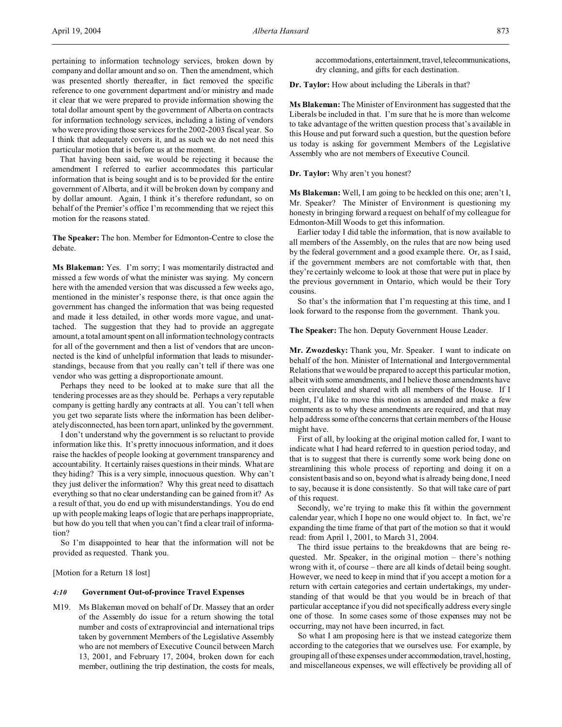pertaining to information technology services, broken down by company and dollar amount and so on. Then the amendment, which was presented shortly thereafter, in fact removed the specific reference to one government department and/or ministry and made it clear that we were prepared to provide information showing the total dollar amount spent by the government of Alberta on contracts for information technology services, including a listing of vendors who were providing those services for the 2002-2003 fiscal year. So I think that adequately covers it, and as such we do not need this particular motion that is before us at the moment.

That having been said, we would be rejecting it because the amendment I referred to earlier accommodates this particular information that is being sought and is to be provided for the entire government of Alberta, and it will be broken down by company and by dollar amount. Again, I think it's therefore redundant, so on behalf of the Premier's office I'm recommending that we reject this motion for the reasons stated.

**The Speaker:** The hon. Member for Edmonton-Centre to close the debate.

**Ms Blakeman:** Yes. I'm sorry; I was momentarily distracted and missed a few words of what the minister was saying. My concern here with the amended version that was discussed a few weeks ago, mentioned in the minister's response there, is that once again the government has changed the information that was being requested and made it less detailed, in other words more vague, and unattached. The suggestion that they had to provide an aggregate amount, a total amount spent on all information technology contracts for all of the government and then a list of vendors that are unconnected is the kind of unhelpful information that leads to misunderstandings, because from that you really can't tell if there was one vendor who was getting a disproportionate amount.

Perhaps they need to be looked at to make sure that all the tendering processes are as they should be. Perhaps a very reputable company is getting hardly any contracts at all. You can't tell when you get two separate lists where the information has been deliberately disconnected, has been torn apart, unlinked by the government.

I don't understand why the government is so reluctant to provide information like this. It's pretty innocuous information, and it does raise the hackles of people looking at government transparency and accountability. It certainly raises questions in their minds. What are they hiding? This is a very simple, innocuous question. Why can't they just deliver the information? Why this great need to disattach everything so that no clear understanding can be gained from it? As a result of that, you do end up with misunderstandings. You do end up with people making leaps of logic that are perhaps inappropriate, but how do you tell that when you can't find a clear trail of information?

So I'm disappointed to hear that the information will not be provided as requested. Thank you.

[Motion for a Return 18 lost]

## *4:10* **Government Out-of-province Travel Expenses**

M19. Ms Blakeman moved on behalf of Dr. Massey that an order of the Assembly do issue for a return showing the total number and costs of extraprovincial and international trips taken by government Members of the Legislative Assembly who are not members of Executive Council between March 13, 2001, and February 17, 2004, broken down for each member, outlining the trip destination, the costs for meals,

accommodations, entertainment, travel, telecommunications, dry cleaning, and gifts for each destination.

**Dr. Taylor:** How about including the Liberals in that?

**Ms Blakeman:** The Minister of Environment has suggested that the Liberals be included in that. I'm sure that he is more than welcome to take advantage of the written question process that's available in this House and put forward such a question, but the question before us today is asking for government Members of the Legislative Assembly who are not members of Executive Council.

**Dr. Taylor:** Why aren't you honest?

**Ms Blakeman:** Well, I am going to be heckled on this one; aren't I, Mr. Speaker? The Minister of Environment is questioning my honesty in bringing forward a request on behalf of my colleague for Edmonton-Mill Woods to get this information.

Earlier today I did table the information, that is now available to all members of the Assembly, on the rules that are now being used by the federal government and a good example there. Or, as I said, if the government members are not comfortable with that, then they're certainly welcome to look at those that were put in place by the previous government in Ontario, which would be their Tory cousins.

So that's the information that I'm requesting at this time, and I look forward to the response from the government. Thank you.

#### **The Speaker:** The hon. Deputy Government House Leader.

**Mr. Zwozdesky:** Thank you, Mr. Speaker. I want to indicate on behalf of the hon. Minister of International and Intergovernmental Relations that we would be prepared to accept this particular motion, albeit with some amendments, and I believe those amendments have been circulated and shared with all members of the House. If I might, I'd like to move this motion as amended and make a few comments as to why these amendments are required, and that may help address some of the concerns that certain members of the House might have.

First of all, by looking at the original motion called for, I want to indicate what I had heard referred to in question period today, and that is to suggest that there is currently some work being done on streamlining this whole process of reporting and doing it on a consistent basis and so on, beyond what is already being done, I need to say, because it is done consistently. So that will take care of part of this request.

Secondly, we're trying to make this fit within the government calendar year, which I hope no one would object to. In fact, we're expanding the time frame of that part of the motion so that it would read: from April 1, 2001, to March 31, 2004.

The third issue pertains to the breakdowns that are being requested. Mr. Speaker, in the original motion – there's nothing wrong with it, of course – there are all kinds of detail being sought. However, we need to keep in mind that if you accept a motion for a return with certain categories and certain undertakings, my understanding of that would be that you would be in breach of that particular acceptance if you did not specifically address every single one of those. In some cases some of those expenses may not be occurring, may not have been incurred, in fact.

So what I am proposing here is that we instead categorize them according to the categories that we ourselves use. For example, by grouping all of these expenses under accommodation, travel, hosting, and miscellaneous expenses, we will effectively be providing all of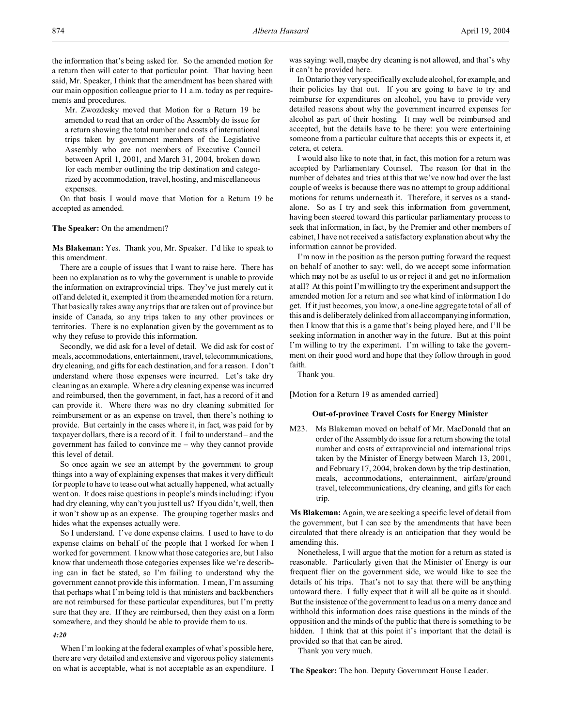the information that's being asked for. So the amended motion for a return then will cater to that particular point. That having been said, Mr. Speaker, I think that the amendment has been shared with our main opposition colleague prior to 11 a.m. today as per requirements and procedures.

Mr. Zwozdesky moved that Motion for a Return 19 be amended to read that an order of the Assembly do issue for a return showing the total number and costs of international trips taken by government members of the Legislative Assembly who are not members of Executive Council between April 1, 2001, and March 31, 2004, broken down for each member outlining the trip destination and categorized by accommodation, travel, hosting, and miscellaneous expenses.

On that basis I would move that Motion for a Return 19 be accepted as amended.

## **The Speaker:** On the amendment?

**Ms Blakeman:** Yes. Thank you, Mr. Speaker. I'd like to speak to this amendment.

There are a couple of issues that I want to raise here. There has been no explanation as to why the government is unable to provide the information on extraprovincial trips. They've just merely cut it off and deleted it, exempted it from the amended motion for a return. That basically takes away any trips that are taken out of province but inside of Canada, so any trips taken to any other provinces or territories. There is no explanation given by the government as to why they refuse to provide this information.

Secondly, we did ask for a level of detail. We did ask for cost of meals, accommodations, entertainment, travel, telecommunications, dry cleaning, and gifts for each destination, and for a reason. I don't understand where those expenses were incurred. Let's take dry cleaning as an example. Where a dry cleaning expense was incurred and reimbursed, then the government, in fact, has a record of it and can provide it. Where there was no dry cleaning submitted for reimbursement or as an expense on travel, then there's nothing to provide. But certainly in the cases where it, in fact, was paid for by taxpayer dollars, there is a record of it. I fail to understand – and the government has failed to convince me – why they cannot provide this level of detail.

So once again we see an attempt by the government to group things into a way of explaining expenses that makes it very difficult for people to have to tease out what actually happened, what actually went on. It does raise questions in people's minds including: if you had dry cleaning, why can't you just tell us? If you didn't, well, then it won't show up as an expense. The grouping together masks and hides what the expenses actually were.

So I understand. I've done expense claims. I used to have to do expense claims on behalf of the people that I worked for when I worked for government. I know what those categories are, but I also know that underneath those categories expenses like we're describing can in fact be stated, so I'm failing to understand why the government cannot provide this information. I mean, I'm assuming that perhaps what I'm being told is that ministers and backbenchers are not reimbursed for these particular expenditures, but I'm pretty sure that they are. If they are reimbursed, then they exist on a form somewhere, and they should be able to provide them to us.

*4:20*

When I'm looking at the federal examples of what's possible here, there are very detailed and extensive and vigorous policy statements on what is acceptable, what is not acceptable as an expenditure. I was saying: well, maybe dry cleaning is not allowed, and that's why it can't be provided here.

In Ontario they very specifically exclude alcohol, for example, and their policies lay that out. If you are going to have to try and reimburse for expenditures on alcohol, you have to provide very detailed reasons about why the government incurred expenses for alcohol as part of their hosting. It may well be reimbursed and accepted, but the details have to be there: you were entertaining someone from a particular culture that accepts this or expects it, et cetera, et cetera.

I would also like to note that, in fact, this motion for a return was accepted by Parliamentary Counsel. The reason for that in the number of debates and tries at this that we've now had over the last couple of weeks is because there was no attempt to group additional motions for returns underneath it. Therefore, it serves as a standalone. So as I try and seek this information from government, having been steered toward this particular parliamentary process to seek that information, in fact, by the Premier and other members of cabinet, I have not received a satisfactory explanation about why the information cannot be provided.

I'm now in the position as the person putting forward the request on behalf of another to say: well, do we accept some information which may not be as useful to us or reject it and get no information at all? At this point I'm willing to try the experiment and support the amended motion for a return and see what kind of information I do get. If it just becomes, you know, a one-line aggregate total of all of this and is deliberately delinked from all accompanying information, then I know that this is a game that's being played here, and I'll be seeking information in another way in the future. But at this point I'm willing to try the experiment. I'm willing to take the government on their good word and hope that they follow through in good faith.

Thank you.

[Motion for a Return 19 as amended carried]

## **Out-of-province Travel Costs for Energy Minister**

M23. Ms Blakeman moved on behalf of Mr. MacDonald that an order of the Assembly do issue for a return showing the total number and costs of extraprovincial and international trips taken by the Minister of Energy between March 13, 2001, and February 17, 2004, broken down by the trip destination, meals, accommodations, entertainment, airfare/ground travel, telecommunications, dry cleaning, and gifts for each trip.

**Ms Blakeman:** Again, we are seeking a specific level of detail from the government, but I can see by the amendments that have been circulated that there already is an anticipation that they would be amending this.

Nonetheless, I will argue that the motion for a return as stated is reasonable. Particularly given that the Minister of Energy is our frequent flier on the government side, we would like to see the details of his trips. That's not to say that there will be anything untoward there. I fully expect that it will all be quite as it should. But the insistence of the government to lead us on a merry dance and withhold this information does raise questions in the minds of the opposition and the minds of the public that there is something to be hidden. I think that at this point it's important that the detail is provided so that that can be aired.

Thank you very much.

**The Speaker:** The hon. Deputy Government House Leader.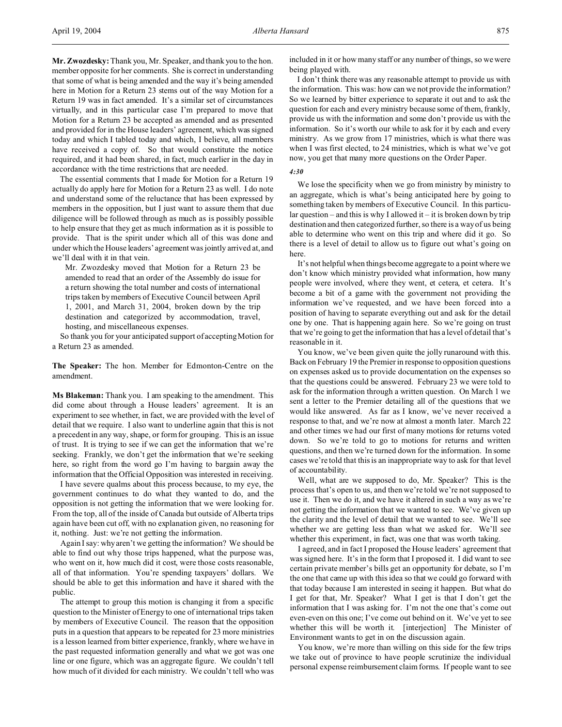**Mr. Zwozdesky:**Thank you, Mr. Speaker, and thank you to the hon. member opposite for her comments. She is correct in understanding that some of what is being amended and the way it's being amended here in Motion for a Return 23 stems out of the way Motion for a Return 19 was in fact amended. It's a similar set of circumstances virtually, and in this particular case I'm prepared to move that Motion for a Return 23 be accepted as amended and as presented and provided for in the House leaders' agreement, which was signed today and which I tabled today and which, I believe, all members have received a copy of. So that would constitute the notice required, and it had been shared, in fact, much earlier in the day in accordance with the time restrictions that are needed.

The essential comments that I made for Motion for a Return 19 actually do apply here for Motion for a Return 23 as well. I do note and understand some of the reluctance that has been expressed by members in the opposition, but I just want to assure them that due diligence will be followed through as much as is possibly possible to help ensure that they get as much information as it is possible to provide. That is the spirit under which all of this was done and under which the House leaders' agreement was jointly arrived at, and we'll deal with it in that vein.

Mr. Zwozdesky moved that Motion for a Return 23 be amended to read that an order of the Assembly do issue for a return showing the total number and costs of international trips taken by members of Executive Council between April 1, 2001, and March 31, 2004, broken down by the trip destination and categorized by accommodation, travel, hosting, and miscellaneous expenses.

So thank you for your anticipated support of accepting Motion for a Return 23 as amended.

**The Speaker:** The hon. Member for Edmonton-Centre on the amendment.

**Ms Blakeman:** Thank you. I am speaking to the amendment. This did come about through a House leaders' agreement. It is an experiment to see whether, in fact, we are provided with the level of detail that we require. I also want to underline again that this is not a precedent in any way, shape, or form for grouping. This is an issue of trust. It is trying to see if we can get the information that we're seeking. Frankly, we don't get the information that we're seeking here, so right from the word go I'm having to bargain away the information that the Official Opposition was interested in receiving.

I have severe qualms about this process because, to my eye, the government continues to do what they wanted to do, and the opposition is not getting the information that we were looking for. From the top, all of the inside of Canada but outside of Alberta trips again have been cut off, with no explanation given, no reasoning for it, nothing. Just: we're not getting the information.

Again I say: why aren't we getting the information? We should be able to find out why those trips happened, what the purpose was, who went on it, how much did it cost, were those costs reasonable, all of that information. You're spending taxpayers' dollars. We should be able to get this information and have it shared with the public.

The attempt to group this motion is changing it from a specific question to the Minister of Energy to one of international trips taken by members of Executive Council. The reason that the opposition puts in a question that appears to be repeated for 23 more ministries is a lesson learned from bitter experience, frankly, where we have in the past requested information generally and what we got was one line or one figure, which was an aggregate figure. We couldn't tell how much of it divided for each ministry. We couldn't tell who was

included in it or how many staff or any number of things, so we were being played with.

I don't think there was any reasonable attempt to provide us with the information. This was: how can we not provide the information? So we learned by bitter experience to separate it out and to ask the question for each and every ministry because some of them, frankly, provide us with the information and some don't provide us with the information. So it's worth our while to ask for it by each and every ministry. As we grow from 17 ministries, which is what there was when I was first elected, to 24 ministries, which is what we've got now, you get that many more questions on the Order Paper.

## *4:30*

We lose the specificity when we go from ministry by ministry to an aggregate, which is what's being anticipated here by going to something taken by members of Executive Council. In this particular question – and this is why I allowed it – it is broken down by trip destination and then categorized further, so there is a way of us being able to determine who went on this trip and where did it go. So there is a level of detail to allow us to figure out what's going on here.

It's not helpful when things become aggregate to a point where we don't know which ministry provided what information, how many people were involved, where they went, et cetera, et cetera. It's become a bit of a game with the government not providing the information we've requested, and we have been forced into a position of having to separate everything out and ask for the detail one by one. That is happening again here. So we're going on trust that we're going to get the information that has a level of detail that's reasonable in it.

You know, we've been given quite the jolly runaround with this. Back on February 19 the Premier in response to opposition questions on expenses asked us to provide documentation on the expenses so that the questions could be answered. February 23 we were told to ask for the information through a written question. On March 1 we sent a letter to the Premier detailing all of the questions that we would like answered. As far as I know, we've never received a response to that, and we're now at almost a month later. March 22 and other times we had our first of many motions for returns voted down. So we're told to go to motions for returns and written questions, and then we're turned down for the information. In some cases we're told that this is an inappropriate way to ask for that level of accountability.

Well, what are we supposed to do, Mr. Speaker? This is the process that's open to us, and then we're told we're not supposed to use it. Then we do it, and we have it altered in such a way as we're not getting the information that we wanted to see. We've given up the clarity and the level of detail that we wanted to see. We'll see whether we are getting less than what we asked for. We'll see whether this experiment, in fact, was one that was worth taking.

I agreed, and in fact I proposed the House leaders' agreement that was signed here. It's in the form that I proposed it. I did want to see certain private member's bills get an opportunity for debate, so I'm the one that came up with this idea so that we could go forward with that today because I am interested in seeing it happen. But what do I get for that, Mr. Speaker? What I get is that I don't get the information that I was asking for. I'm not the one that's come out even-even on this one; I've come out behind on it. We've yet to see whether this will be worth it. [interjection] The Minister of Environment wants to get in on the discussion again.

You know, we're more than willing on this side for the few trips we take out of province to have people scrutinize the individual personal expense reimbursement claim forms. If people want to see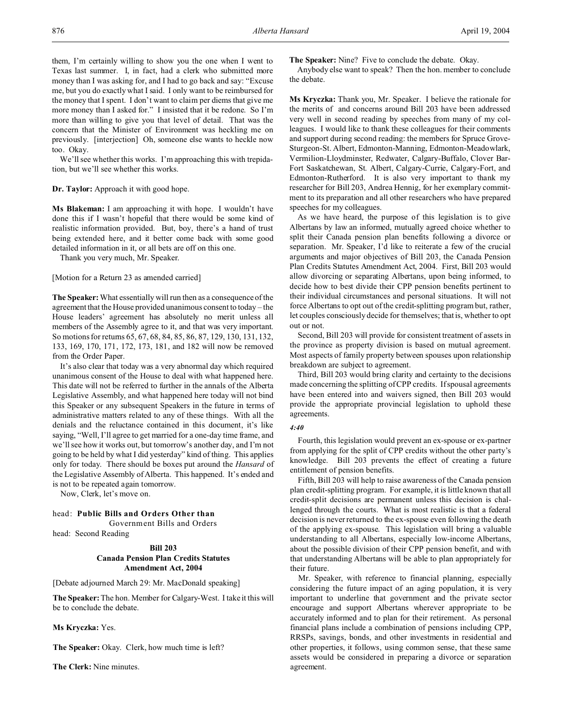them, I'm certainly willing to show you the one when I went to Texas last summer. I, in fact, had a clerk who submitted more money than I was asking for, and I had to go back and say: "Excuse me, but you do exactly what I said. I only want to be reimbursed for the money that I spent. I don't want to claim per diems that give me more money than I asked for." I insisted that it be redone. So I'm more than willing to give you that level of detail. That was the concern that the Minister of Environment was heckling me on previously. [interjection] Oh, someone else wants to heckle now too. Okay.

We'll see whether this works. I'm approaching this with trepidation, but we'll see whether this works.

## **Dr. Taylor:** Approach it with good hope.

**Ms Blakeman:** I am approaching it with hope. I wouldn't have done this if I wasn't hopeful that there would be some kind of realistic information provided. But, boy, there's a hand of trust being extended here, and it better come back with some good detailed information in it, or all bets are off on this one.

Thank you very much, Mr. Speaker.

## [Motion for a Return 23 as amended carried]

**The Speaker:** What essentially will run then as a consequence of the agreement that the House provided unanimous consent to today – the House leaders' agreement has absolutely no merit unless all members of the Assembly agree to it, and that was very important. So motions for returns 65, 67, 68, 84, 85, 86, 87, 129, 130, 131, 132, 133, 169, 170, 171, 172, 173, 181, and 182 will now be removed from the Order Paper.

It's also clear that today was a very abnormal day which required unanimous consent of the House to deal with what happened here. This date will not be referred to further in the annals of the Alberta Legislative Assembly, and what happened here today will not bind this Speaker or any subsequent Speakers in the future in terms of administrative matters related to any of these things. With all the denials and the reluctance contained in this document, it's like saying, "Well, I'll agree to get married for a one-day time frame, and we'll see how it works out, but tomorrow's another day, and I'm not going to be held by what I did yesterday" kind of thing. This applies only for today. There should be boxes put around the *Hansard* of the Legislative Assembly of Alberta. This happened. It's ended and is not to be repeated again tomorrow.

Now, Clerk, let's move on.

## head: **Public Bills and Orders Other than**

Government Bills and Orders

head: Second Reading

# **Bill 203 Canada Pension Plan Credits Statutes Amendment Act, 2004**

[Debate adjourned March 29: Mr. MacDonald speaking]

**The Speaker:**The hon. Member for Calgary-West. I take it this will be to conclude the debate.

**Ms Kryczka:** Yes.

The Speaker: Okay. Clerk, how much time is left?

**The Clerk:** Nine minutes.

**The Speaker:** Nine? Five to conclude the debate. Okay.

Anybody else want to speak? Then the hon. member to conclude the debate.

**Ms Kryczka:** Thank you, Mr. Speaker. I believe the rationale for the merits of and concerns around Bill 203 have been addressed very well in second reading by speeches from many of my colleagues. I would like to thank these colleagues for their comments and support during second reading: the members for Spruce Grove-Sturgeon-St. Albert, Edmonton-Manning, Edmonton-Meadowlark, Vermilion-Lloydminster, Redwater, Calgary-Buffalo, Clover Bar-Fort Saskatchewan, St. Albert, Calgary-Currie, Calgary-Fort, and Edmonton-Rutherford. It is also very important to thank my researcher for Bill 203, Andrea Hennig, for her exemplary commitment to its preparation and all other researchers who have prepared speeches for my colleagues.

As we have heard, the purpose of this legislation is to give Albertans by law an informed, mutually agreed choice whether to split their Canada pension plan benefits following a divorce or separation. Mr. Speaker, I'd like to reiterate a few of the crucial arguments and major objectives of Bill 203, the Canada Pension Plan Credits Statutes Amendment Act, 2004. First, Bill 203 would allow divorcing or separating Albertans, upon being informed, to decide how to best divide their CPP pension benefits pertinent to their individual circumstances and personal situations. It will not force Albertans to opt out of the credit-splitting program but, rather, let couples consciously decide for themselves; that is, whether to opt out or not.

Second, Bill 203 will provide for consistent treatment of assets in the province as property division is based on mutual agreement. Most aspects of family property between spouses upon relationship breakdown are subject to agreement.

Third, Bill 203 would bring clarity and certainty to the decisions made concerning the splitting of CPP credits. If spousal agreements have been entered into and waivers signed, then Bill 203 would provide the appropriate provincial legislation to uphold these agreements.

## *4:40*

Fourth, this legislation would prevent an ex-spouse or ex-partner from applying for the split of CPP credits without the other party's knowledge. Bill 203 prevents the effect of creating a future entitlement of pension benefits.

Fifth, Bill 203 will help to raise awareness of the Canada pension plan credit-splitting program. For example, it is little known that all credit-split decisions are permanent unless this decision is challenged through the courts. What is most realistic is that a federal decision is never returned to the ex-spouse even following the death of the applying ex-spouse. This legislation will bring a valuable understanding to all Albertans, especially low-income Albertans, about the possible division of their CPP pension benefit, and with that understanding Albertans will be able to plan appropriately for their future.

Mr. Speaker, with reference to financial planning, especially considering the future impact of an aging population, it is very important to underline that government and the private sector encourage and support Albertans wherever appropriate to be accurately informed and to plan for their retirement. As personal financial plans include a combination of pensions including CPP, RRSPs, savings, bonds, and other investments in residential and other properties, it follows, using common sense, that these same assets would be considered in preparing a divorce or separation agreement.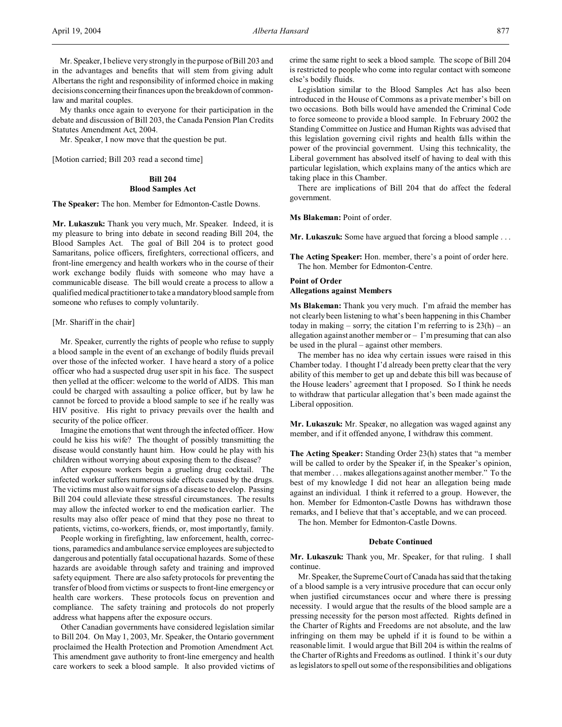Mr. Speaker, I believe very strongly in the purpose of Bill 203 and in the advantages and benefits that will stem from giving adult Albertans the right and responsibility of informed choice in making decisions concerning their finances upon the breakdown of commonlaw and marital couples.

My thanks once again to everyone for their participation in the debate and discussion of Bill 203, the Canada Pension Plan Credits Statutes Amendment Act, 2004.

Mr. Speaker, I now move that the question be put.

[Motion carried; Bill 203 read a second time]

## **Bill 204**

## **Blood Samples Act**

**The Speaker:** The hon. Member for Edmonton-Castle Downs.

**Mr. Lukaszuk:** Thank you very much, Mr. Speaker. Indeed, it is my pleasure to bring into debate in second reading Bill 204, the Blood Samples Act. The goal of Bill 204 is to protect good Samaritans, police officers, firefighters, correctional officers, and front-line emergency and health workers who in the course of their work exchange bodily fluids with someone who may have a communicable disease. The bill would create a process to allow a qualified medical practitioner to take a mandatory blood sample from someone who refuses to comply voluntarily.

## [Mr. Shariff in the chair]

Mr. Speaker, currently the rights of people who refuse to supply a blood sample in the event of an exchange of bodily fluids prevail over those of the infected worker. I have heard a story of a police officer who had a suspected drug user spit in his face. The suspect then yelled at the officer: welcome to the world of AIDS. This man could be charged with assaulting a police officer, but by law he cannot be forced to provide a blood sample to see if he really was HIV positive. His right to privacy prevails over the health and security of the police officer.

Imagine the emotions that went through the infected officer. How could he kiss his wife? The thought of possibly transmitting the disease would constantly haunt him. How could he play with his children without worrying about exposing them to the disease?

After exposure workers begin a grueling drug cocktail. The infected worker suffers numerous side effects caused by the drugs. The victims must also wait for signs of a disease to develop. Passing Bill 204 could alleviate these stressful circumstances. The results may allow the infected worker to end the medication earlier. The results may also offer peace of mind that they pose no threat to patients, victims, co-workers, friends, or, most importantly, family.

People working in firefighting, law enforcement, health, corrections, paramedics and ambulance service employees are subjected to dangerous and potentially fatal occupational hazards. Some of these hazards are avoidable through safety and training and improved safety equipment. There are also safety protocols for preventing the transfer of blood from victims or suspects to front-line emergency or health care workers. These protocols focus on prevention and compliance. The safety training and protocols do not properly address what happens after the exposure occurs.

Other Canadian governments have considered legislation similar to Bill 204. On May 1, 2003, Mr. Speaker, the Ontario government proclaimed the Health Protection and Promotion Amendment Act. This amendment gave authority to front-line emergency and health care workers to seek a blood sample. It also provided victims of crime the same right to seek a blood sample. The scope of Bill 204 is restricted to people who come into regular contact with someone else's bodily fluids.

Legislation similar to the Blood Samples Act has also been introduced in the House of Commons as a private member's bill on two occasions. Both bills would have amended the Criminal Code to force someone to provide a blood sample. In February 2002 the Standing Committee on Justice and Human Rights was advised that this legislation governing civil rights and health falls within the power of the provincial government. Using this technicality, the Liberal government has absolved itself of having to deal with this particular legislation, which explains many of the antics which are taking place in this Chamber.

There are implications of Bill 204 that do affect the federal government.

### **Ms Blakeman:** Point of order.

**Mr. Lukaszuk:** Some have argued that forcing a blood sample . . .

**The Acting Speaker:** Hon. member, there's a point of order here. The hon. Member for Edmonton-Centre.

# **Point of Order Allegations against Members**

**Ms Blakeman:** Thank you very much. I'm afraid the member has not clearly been listening to what's been happening in this Chamber today in making – sorry; the citation I'm referring to is  $23(h)$  – an allegation against another member or  $-1$ 'm presuming that can also be used in the plural – against other members.

The member has no idea why certain issues were raised in this Chamber today. I thought I'd already been pretty clear that the very ability of this member to get up and debate this bill was because of the House leaders' agreement that I proposed. So I think he needs to withdraw that particular allegation that's been made against the Liberal opposition.

**Mr. Lukaszuk:** Mr. Speaker, no allegation was waged against any member, and if it offended anyone, I withdraw this comment.

**The Acting Speaker:** Standing Order 23(h) states that "a member will be called to order by the Speaker if, in the Speaker's opinion, that member . . . makes allegations against another member." To the best of my knowledge I did not hear an allegation being made against an individual. I think it referred to a group. However, the hon. Member for Edmonton-Castle Downs has withdrawn those remarks, and I believe that that's acceptable, and we can proceed.

The hon. Member for Edmonton-Castle Downs.

#### **Debate Continued**

**Mr. Lukaszuk:** Thank you, Mr. Speaker, for that ruling. I shall continue.

Mr. Speaker, the Supreme Court of Canada has said that the taking of a blood sample is a very intrusive procedure that can occur only when justified circumstances occur and where there is pressing necessity. I would argue that the results of the blood sample are a pressing necessity for the person most affected. Rights defined in the Charter of Rights and Freedoms are not absolute, and the law infringing on them may be upheld if it is found to be within a reasonable limit. I would argue that Bill 204 is within the realms of the Charter of Rights and Freedoms as outlined. I think it's our duty as legislators to spell out some of the responsibilities and obligations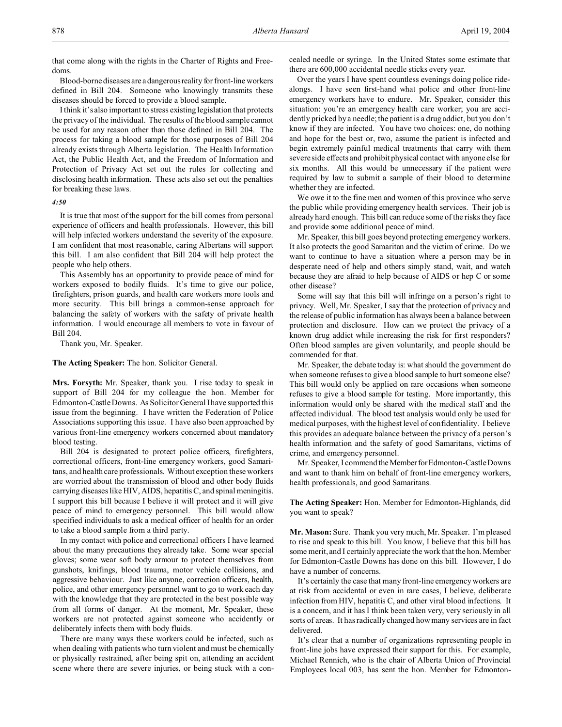that come along with the rights in the Charter of Rights and Freedoms.

Blood-borne diseases are a dangerousreality for front-line workers defined in Bill 204. Someone who knowingly transmits these diseases should be forced to provide a blood sample.

I think it's also important to stress existing legislation that protects the privacy of the individual. The results of the blood sample cannot be used for any reason other than those defined in Bill 204. The process for taking a blood sample for those purposes of Bill 204 already exists through Alberta legislation. The Health Information Act, the Public Health Act, and the Freedom of Information and Protection of Privacy Act set out the rules for collecting and disclosing health information. These acts also set out the penalties for breaking these laws.

#### *4:50*

It is true that most of the support for the bill comes from personal experience of officers and health professionals. However, this bill will help infected workers understand the severity of the exposure. I am confident that most reasonable, caring Albertans will support this bill. I am also confident that Bill 204 will help protect the people who help others.

This Assembly has an opportunity to provide peace of mind for workers exposed to bodily fluids. It's time to give our police, firefighters, prison guards, and health care workers more tools and more security. This bill brings a common-sense approach for balancing the safety of workers with the safety of private health information. I would encourage all members to vote in favour of Bill 204.

Thank you, Mr. Speaker.

**The Acting Speaker:** The hon. Solicitor General.

**Mrs. Forsyth:** Mr. Speaker, thank you. I rise today to speak in support of Bill 204 for my colleague the hon. Member for Edmonton-Castle Downs. As Solicitor General I have supported this issue from the beginning. I have written the Federation of Police Associations supporting this issue. I have also been approached by various front-line emergency workers concerned about mandatory blood testing.

Bill 204 is designated to protect police officers, firefighters, correctional officers, front-line emergency workers, good Samaritans, and health care professionals. Without exception these workers are worried about the transmission of blood and other body fluids carrying diseases like HIV, AIDS, hepatitis C, and spinal meningitis. I support this bill because I believe it will protect and it will give peace of mind to emergency personnel. This bill would allow specified individuals to ask a medical officer of health for an order to take a blood sample from a third party.

In my contact with police and correctional officers I have learned about the many precautions they already take. Some wear special gloves; some wear soft body armour to protect themselves from gunshots, knifings, blood trauma, motor vehicle collisions, and aggressive behaviour. Just like anyone, correction officers, health, police, and other emergency personnel want to go to work each day with the knowledge that they are protected in the best possible way from all forms of danger. At the moment, Mr. Speaker, these workers are not protected against someone who accidently or deliberately infects them with body fluids.

There are many ways these workers could be infected, such as when dealing with patients who turn violent and must be chemically or physically restrained, after being spit on, attending an accident scene where there are severe injuries, or being stuck with a concealed needle or syringe. In the United States some estimate that there are 600,000 accidental needle sticks every year.

Over the years I have spent countless evenings doing police ridealongs. I have seen first-hand what police and other front-line emergency workers have to endure. Mr. Speaker, consider this situation: you're an emergency health care worker; you are accidently pricked by a needle; the patient is a drug addict, but you don't know if they are infected. You have two choices: one, do nothing and hope for the best or, two, assume the patient is infected and begin extremely painful medical treatments that carry with them severe side effects and prohibit physical contact with anyone else for six months. All this would be unnecessary if the patient were required by law to submit a sample of their blood to determine whether they are infected.

We owe it to the fine men and women of this province who serve the public while providing emergency health services. Their job is already hard enough. This bill can reduce some of the risks they face and provide some additional peace of mind.

Mr. Speaker, this bill goes beyond protecting emergency workers. It also protects the good Samaritan and the victim of crime. Do we want to continue to have a situation where a person may be in desperate need of help and others simply stand, wait, and watch because they are afraid to help because of AIDS or hep C or some other disease?

Some will say that this bill will infringe on a person's right to privacy. Well, Mr. Speaker, I say that the protection of privacy and the release of public information has always been a balance between protection and disclosure. How can we protect the privacy of a known drug addict while increasing the risk for first responders? Often blood samples are given voluntarily, and people should be commended for that.

Mr. Speaker, the debate today is: what should the government do when someone refuses to give a blood sample to hurt someone else? This bill would only be applied on rare occasions when someone refuses to give a blood sample for testing. More importantly, this information would only be shared with the medical staff and the affected individual. The blood test analysis would only be used for medical purposes, with the highest level of confidentiality. I believe this provides an adequate balance between the privacy of a person's health information and the safety of good Samaritans, victims of crime, and emergency personnel.

Mr. Speaker, I commend the Member for Edmonton-Castle Downs and want to thank him on behalf of front-line emergency workers, health professionals, and good Samaritans.

**The Acting Speaker:** Hon. Member for Edmonton-Highlands, did you want to speak?

**Mr. Mason:** Sure. Thank you very much, Mr. Speaker. I'm pleased to rise and speak to this bill. You know, I believe that this bill has some merit, and I certainly appreciate the work that the hon. Member for Edmonton-Castle Downs has done on this bill. However, I do have a number of concerns.

It's certainly the case that many front-line emergency workers are at risk from accidental or even in rare cases, I believe, deliberate infection from HIV, hepatitis C, and other viral blood infections. It is a concern, and it has I think been taken very, very seriously in all sorts of areas. It has radically changed how many services are in fact delivered.

It's clear that a number of organizations representing people in front-line jobs have expressed their support for this. For example, Michael Rennich, who is the chair of Alberta Union of Provincial Employees local 003, has sent the hon. Member for Edmonton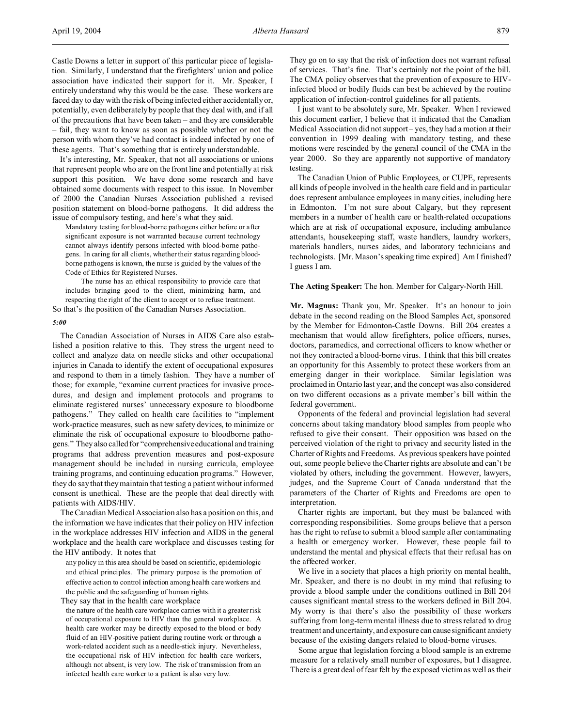Castle Downs a letter in support of this particular piece of legislation. Similarly, I understand that the firefighters' union and police association have indicated their support for it. Mr. Speaker, I entirely understand why this would be the case. These workers are faced day to day with the risk of being infected either accidentally or, potentially, even deliberately by people that they deal with, and if all of the precautions that have been taken – and they are considerable – fail, they want to know as soon as possible whether or not the person with whom they've had contact is indeed infected by one of these agents. That's something that is entirely understandable.

It's interesting, Mr. Speaker, that not all associations or unions that represent people who are on the front line and potentially at risk support this position. We have done some research and have obtained some documents with respect to this issue. In November of 2000 the Canadian Nurses Association published a revised position statement on blood-borne pathogens. It did address the issue of compulsory testing, and here's what they said.

Mandatory testing for blood-borne pathogens either before or after significant exposure is not warranted because current technology cannot always identify persons infected with blood-borne pathogens. In caring for all clients, whether their status regarding bloodborne pathogens is known, the nurse is guided by the values of the Code of Ethics for Registered Nurses.

The nurse has an ethical responsibility to provide care that includes bringing good to the client, minimizing harm, and respecting the right of the client to accept or to refuse treatment. So that's the position of the Canadian Nurses Association.

*5:00*

The Canadian Association of Nurses in AIDS Care also established a position relative to this. They stress the urgent need to collect and analyze data on needle sticks and other occupational injuries in Canada to identify the extent of occupational exposures and respond to them in a timely fashion. They have a number of those; for example, "examine current practices for invasive procedures, and design and implement protocols and programs to eliminate registered nurses' unnecessary exposure to bloodborne pathogens." They called on health care facilities to "implement work-practice measures, such as new safety devices, to minimize or eliminate the risk of occupational exposure to bloodborne pathogens." They also called for "comprehensive educational and training programs that address prevention measures and post-exposure management should be included in nursing curricula, employee training programs, and continuing education programs." However, they do say that they maintain that testing a patient without informed consent is unethical. These are the people that deal directly with patients with AIDS/HIV.

The Canadian Medical Association also has a position on this, and the information we have indicates that their policy on HIV infection in the workplace addresses HIV infection and AIDS in the general workplace and the health care workplace and discusses testing for the HIV antibody. It notes that

any policy in this area should be based on scientific, epidemiologic and ethical principles. The primary purpose is the promotion of effective action to control infection among health care workers and the public and the safeguarding of human rights.

They say that in the health care workplace

the nature of the health care workplace carries with it a greater risk of occupational exposure to HIV than the general workplace. A health care worker may be directly exposed to the blood or body fluid of an HIV-positive patient during routine work or through a work-related accident such as a needle-stick injury. Nevertheless, the occupational risk of HIV infection for health care workers, although not absent, is very low. The risk of transmission from an infected health care worker to a patient is also very low.

They go on to say that the risk of infection does not warrant refusal of services. That's fine. That's certainly not the point of the bill. The CMA policy observes that the prevention of exposure to HIVinfected blood or bodily fluids can best be achieved by the routine application of infection-control guidelines for all patients.

I just want to be absolutely sure, Mr. Speaker. When I reviewed this document earlier, I believe that it indicated that the Canadian Medical Association did not support – yes, they had a motion at their convention in 1999 dealing with mandatory testing, and these motions were rescinded by the general council of the CMA in the year 2000. So they are apparently not supportive of mandatory testing.

The Canadian Union of Public Employees, or CUPE, represents all kinds of people involved in the health care field and in particular does represent ambulance employees in many cities, including here in Edmonton. I'm not sure about Calgary, but they represent members in a number of health care or health-related occupations which are at risk of occupational exposure, including ambulance attendants, housekeeping staff, waste handlers, laundry workers, materials handlers, nurses aides, and laboratory technicians and technologists. [Mr. Mason's speaking time expired] Am I finished? I guess I am.

## **The Acting Speaker:** The hon. Member for Calgary-North Hill.

**Mr. Magnus:** Thank you, Mr. Speaker. It's an honour to join debate in the second reading on the Blood Samples Act, sponsored by the Member for Edmonton-Castle Downs. Bill 204 creates a mechanism that would allow firefighters, police officers, nurses, doctors, paramedics, and correctional officers to know whether or not they contracted a blood-borne virus. I think that this bill creates an opportunity for this Assembly to protect these workers from an emerging danger in their workplace. Similar legislation was proclaimed in Ontario last year, and the concept was also considered on two different occasions as a private member's bill within the federal government.

Opponents of the federal and provincial legislation had several concerns about taking mandatory blood samples from people who refused to give their consent. Their opposition was based on the perceived violation of the right to privacy and security listed in the Charter of Rights and Freedoms. As previous speakers have pointed out, some people believe the Charter rights are absolute and can't be violated by others, including the government. However, lawyers, judges, and the Supreme Court of Canada understand that the parameters of the Charter of Rights and Freedoms are open to interpretation.

Charter rights are important, but they must be balanced with corresponding responsibilities. Some groups believe that a person has the right to refuse to submit a blood sample after contaminating a health or emergency worker. However, these people fail to understand the mental and physical effects that their refusal has on the affected worker.

We live in a society that places a high priority on mental health, Mr. Speaker, and there is no doubt in my mind that refusing to provide a blood sample under the conditions outlined in Bill 204 causes significant mental stress to the workers defined in Bill 204. My worry is that there's also the possibility of these workers suffering from long-term mental illness due to stress related to drug treatment and uncertainty, and exposure can cause significant anxiety because of the existing dangers related to blood-borne viruses.

Some argue that legislation forcing a blood sample is an extreme measure for a relatively small number of exposures, but I disagree. There is a great deal of fear felt by the exposed victim as well as their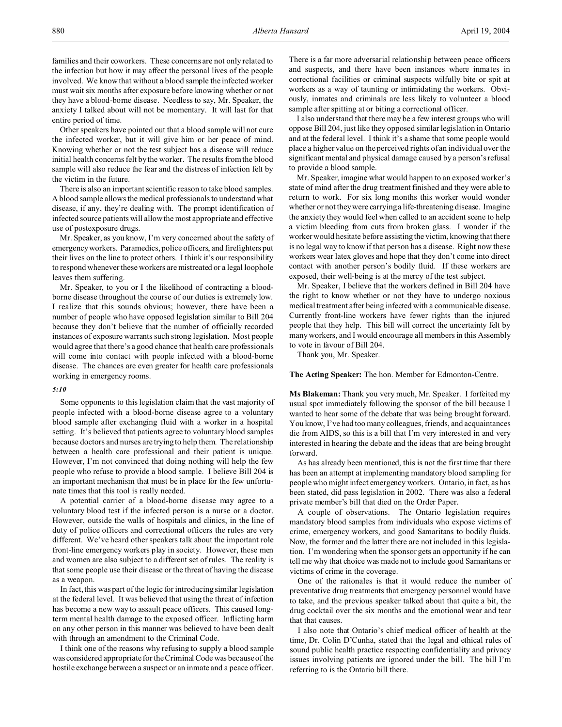Other speakers have pointed out that a blood sample will not cure the infected worker, but it will give him or her peace of mind. Knowing whether or not the test subject has a disease will reduce initial health concerns felt by the worker. The results from the blood sample will also reduce the fear and the distress of infection felt by the victim in the future.

There is also an important scientific reason to take blood samples. A blood sample allows the medical professionals to understand what disease, if any, they're dealing with. The prompt identification of infected source patients will allow the most appropriate and effective use of postexposure drugs.

Mr. Speaker, as you know, I'm very concerned about the safety of emergency workers. Paramedics, police officers, and firefighters put their lives on the line to protect others. I think it's our responsibility to respond whenever these workers are mistreated or a legal loophole leaves them suffering.

Mr. Speaker, to you or I the likelihood of contracting a bloodborne disease throughout the course of our duties is extremely low. I realize that this sounds obvious; however, there have been a number of people who have opposed legislation similar to Bill 204 because they don't believe that the number of officially recorded instances of exposure warrants such strong legislation. Most people would agree that there's a good chance that health care professionals will come into contact with people infected with a blood-borne disease. The chances are even greater for health care professionals working in emergency rooms.

#### *5:10*

Some opponents to this legislation claim that the vast majority of people infected with a blood-borne disease agree to a voluntary blood sample after exchanging fluid with a worker in a hospital setting. It's believed that patients agree to voluntary blood samples because doctors and nurses are trying to help them. The relationship between a health care professional and their patient is unique. However, I'm not convinced that doing nothing will help the few people who refuse to provide a blood sample. I believe Bill 204 is an important mechanism that must be in place for the few unfortunate times that this tool is really needed.

A potential carrier of a blood-borne disease may agree to a voluntary blood test if the infected person is a nurse or a doctor. However, outside the walls of hospitals and clinics, in the line of duty of police officers and correctional officers the rules are very different. We've heard other speakers talk about the important role front-line emergency workers play in society. However, these men and women are also subject to a different set of rules. The reality is that some people use their disease or the threat of having the disease as a weapon.

In fact, this was part of the logic for introducing similar legislation at the federal level. It was believed that using the threat of infection has become a new way to assault peace officers. This caused longterm mental health damage to the exposed officer. Inflicting harm on any other person in this manner was believed to have been dealt with through an amendment to the Criminal Code.

I think one of the reasons why refusing to supply a blood sample was considered appropriate for the Criminal Code was because of the hostile exchange between a suspect or an inmate and a peace officer.

There is a far more adversarial relationship between peace officers and suspects, and there have been instances where inmates in correctional facilities or criminal suspects wilfully bite or spit at workers as a way of taunting or intimidating the workers. Obviously, inmates and criminals are less likely to volunteer a blood sample after spitting at or biting a correctional officer.

I also understand that there may be a few interest groups who will oppose Bill 204, just like they opposed similar legislation in Ontario and at the federal level. I think it's a shame that some people would place a higher value on the perceived rights of an individual over the significant mental and physical damage caused by a person's refusal to provide a blood sample.

Mr. Speaker, imagine what would happen to an exposed worker's state of mind after the drug treatment finished and they were able to return to work. For six long months this worker would wonder whether or not they were carrying a life-threatening disease. Imagine the anxiety they would feel when called to an accident scene to help a victim bleeding from cuts from broken glass. I wonder if the worker would hesitate before assisting the victim, knowing that there is no legal way to know if that person has a disease. Right now these workers wear latex gloves and hope that they don't come into direct contact with another person's bodily fluid. If these workers are exposed, their well-being is at the mercy of the test subject.

Mr. Speaker, I believe that the workers defined in Bill 204 have the right to know whether or not they have to undergo noxious medical treatment after being infected with a communicable disease. Currently front-line workers have fewer rights than the injured people that they help. This bill will correct the uncertainty felt by many workers, and I would encourage all members in this Assembly to vote in favour of Bill 204.

Thank you, Mr. Speaker.

**The Acting Speaker:** The hon. Member for Edmonton-Centre.

**Ms Blakeman:** Thank you very much, Mr. Speaker. I forfeited my usual spot immediately following the sponsor of the bill because I wanted to hear some of the debate that was being brought forward. You know, I've had too many colleagues, friends, and acquaintances die from AIDS, so this is a bill that I'm very interested in and very interested in hearing the debate and the ideas that are being brought forward.

As has already been mentioned, this is not the first time that there has been an attempt at implementing mandatory blood sampling for people who might infect emergency workers. Ontario, in fact, as has been stated, did pass legislation in 2002. There was also a federal private member's bill that died on the Order Paper.

A couple of observations. The Ontario legislation requires mandatory blood samples from individuals who expose victims of crime, emergency workers, and good Samaritans to bodily fluids. Now, the former and the latter there are not included in this legislation. I'm wondering when the sponsor gets an opportunity if he can tell me why that choice was made not to include good Samaritans or victims of crime in the coverage.

One of the rationales is that it would reduce the number of preventative drug treatments that emergency personnel would have to take, and the previous speaker talked about that quite a bit, the drug cocktail over the six months and the emotional wear and tear that that causes.

I also note that Ontario's chief medical officer of health at the time, Dr. Colin D'Cunha, stated that the legal and ethical rules of sound public health practice respecting confidentiality and privacy issues involving patients are ignored under the bill. The bill I'm referring to is the Ontario bill there.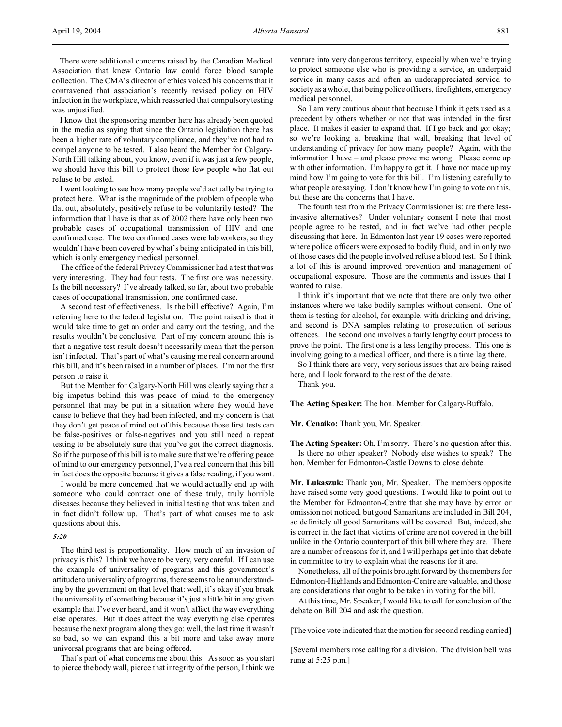There were additional concerns raised by the Canadian Medical Association that knew Ontario law could force blood sample collection. The CMA's director of ethics voiced his concerns that it contravened that association's recently revised policy on HIV infection in the workplace, which reasserted that compulsory testing was unjustified.

I know that the sponsoring member here has already been quoted in the media as saying that since the Ontario legislation there has been a higher rate of voluntary compliance, and they've not had to compel anyone to be tested. I also heard the Member for Calgary-North Hill talking about, you know, even if it was just a few people, we should have this bill to protect those few people who flat out refuse to be tested.

I went looking to see how many people we'd actually be trying to protect here. What is the magnitude of the problem of people who flat out, absolutely, positively refuse to be voluntarily tested? The information that I have is that as of 2002 there have only been two probable cases of occupational transmission of HIV and one confirmed case. The two confirmed cases were lab workers, so they wouldn't have been covered by what's being anticipated in this bill, which is only emergency medical personnel.

The office of the federal Privacy Commissioner had a test that was very interesting. They had four tests. The first one was necessity. Is the bill necessary? I've already talked, so far, about two probable cases of occupational transmission, one confirmed case.

A second test of effectiveness. Is the bill effective? Again, I'm referring here to the federal legislation. The point raised is that it would take time to get an order and carry out the testing, and the results wouldn't be conclusive. Part of my concern around this is that a negative test result doesn't necessarily mean that the person isn't infected. That's part of what's causing me real concern around this bill, and it's been raised in a number of places. I'm not the first person to raise it.

But the Member for Calgary-North Hill was clearly saying that a big impetus behind this was peace of mind to the emergency personnel that may be put in a situation where they would have cause to believe that they had been infected, and my concern is that they don't get peace of mind out of this because those first tests can be false-positives or false-negatives and you still need a repeat testing to be absolutely sure that you've got the correct diagnosis. So if the purpose of this bill is to make sure that we're offering peace of mind to our emergency personnel, I've a real concern that this bill in fact does the opposite because it gives a false reading, if you want.

I would be more concerned that we would actually end up with someone who could contract one of these truly, truly horrible diseases because they believed in initial testing that was taken and in fact didn't follow up. That's part of what causes me to ask questions about this.

## *5:20*

The third test is proportionality. How much of an invasion of privacy is this? I think we have to be very, very careful. If I can use the example of universality of programs and this government's attitude to universality of programs, there seems to be an understanding by the government on that level that: well, it's okay if you break the universality of something because it's just a little bit in any given example that I've ever heard, and it won't affect the way everything else operates. But it does affect the way everything else operates because the next program along they go: well, the last time it wasn't so bad, so we can expand this a bit more and take away more universal programs that are being offered.

That's part of what concerns me about this. As soon as you start to pierce the body wall, pierce that integrity of the person, I think we

venture into very dangerous territory, especially when we're trying to protect someone else who is providing a service, an underpaid service in many cases and often an underappreciated service, to society as a whole, that being police officers, firefighters, emergency medical personnel.

So I am very cautious about that because I think it gets used as a precedent by others whether or not that was intended in the first place. It makes it easier to expand that. If I go back and go: okay; so we're looking at breaking that wall, breaking that level of understanding of privacy for how many people? Again, with the information I have – and please prove me wrong. Please come up with other information. I'm happy to get it. I have not made up my mind how I'm going to vote for this bill. I'm listening carefully to what people are saying. I don't know how I'm going to vote on this, but these are the concerns that I have.

The fourth test from the Privacy Commissioner is: are there lessinvasive alternatives? Under voluntary consent I note that most people agree to be tested, and in fact we've had other people discussing that here. In Edmonton last year 19 cases were reported where police officers were exposed to bodily fluid, and in only two of those cases did the people involved refuse a blood test. So I think a lot of this is around improved prevention and management of occupational exposure. Those are the comments and issues that I wanted to raise.

I think it's important that we note that there are only two other instances where we take bodily samples without consent. One of them is testing for alcohol, for example, with drinking and driving, and second is DNA samples relating to prosecution of serious offences. The second one involves a fairly lengthy court process to prove the point. The first one is a less lengthy process. This one is involving going to a medical officer, and there is a time lag there.

So I think there are very, very serious issues that are being raised here, and I look forward to the rest of the debate.

Thank you.

**The Acting Speaker:** The hon. Member for Calgary-Buffalo.

**Mr. Cenaiko:** Thank you, Mr. Speaker.

**The Acting Speaker:** Oh, I'm sorry. There's no question after this. Is there no other speaker? Nobody else wishes to speak? The hon. Member for Edmonton-Castle Downs to close debate.

**Mr. Lukaszuk:** Thank you, Mr. Speaker. The members opposite have raised some very good questions. I would like to point out to the Member for Edmonton-Centre that she may have by error or omission not noticed, but good Samaritans are included in Bill 204, so definitely all good Samaritans will be covered. But, indeed, she is correct in the fact that victims of crime are not covered in the bill unlike in the Ontario counterpart of this bill where they are. There are a number of reasons for it, and I will perhaps get into that debate in committee to try to explain what the reasons for it are.

Nonetheless, all of the points brought forward by the members for Edmonton-Highlands and Edmonton-Centre are valuable, and those are considerations that ought to be taken in voting for the bill.

At this time, Mr. Speaker, I would like to call for conclusion of the debate on Bill 204 and ask the question.

[The voice vote indicated that the motion for second reading carried]

[Several members rose calling for a division. The division bell was rung at 5:25 p.m.]